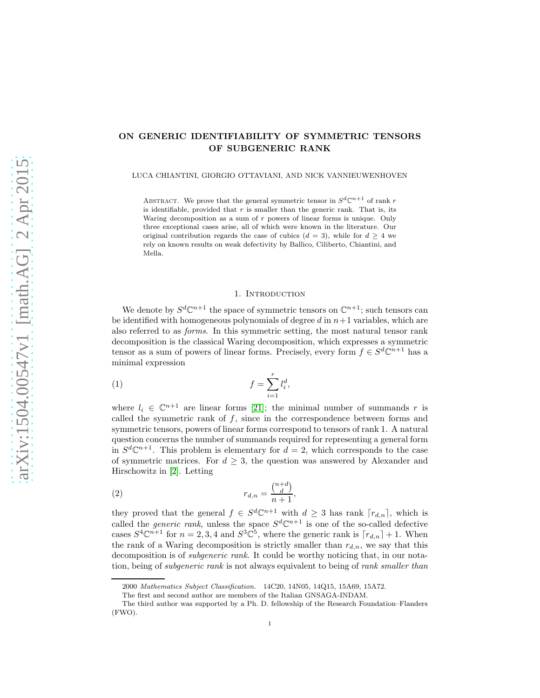# ON GENERIC IDENTIFIABILITY OF SYMMETRIC TENSORS OF SUBGENERIC RANK

LUCA CHIANTINI, GIORGIO OTTAVIANI, AND NICK VANNIEUWENHOVEN

ABSTRACT. We prove that the general symmetric tensor in  $S^d\mathbb{C}^{n+1}$  of rank r is identifiable, provided that  $r$  is smaller than the generic rank. That is, its Waring decomposition as a sum of r powers of linear forms is unique. Only three exceptional cases arise, all of which were known in the literature. Our original contribution regards the case of cubics  $(d = 3)$ , while for  $d > 4$  we rely on known results on weak defectivity by Ballico, Ciliberto, Chiantini, and Mella.

## <span id="page-0-1"></span>1. INTRODUCTION

We denote by  $S^d \mathbb{C}^{n+1}$  the space of symmetric tensors on  $\mathbb{C}^{n+1}$ ; such tensors can be identified with homogeneous polynomials of degree  $d$  in  $n+1$  variables, which are also referred to as *forms*. In this symmetric setting, the most natural tensor rank decomposition is the classical Waring decomposition, which expresses a symmetric tensor as a sum of powers of linear forms. Precisely, every form  $f \in S^d \mathbb{C}^{n+1}$  has a minimal expression

$$
(1) \t\t f = \sum_{i=1}^r l_i^d,
$$

where  $l_i \in \mathbb{C}^{n+1}$  are linear forms [\[21\]](#page-19-0); the minimal number of summands r is called the symmetric rank of  $f$ , since in the correspondence between forms and symmetric tensors, powers of linear forms correspond to tensors of rank 1. A natural question concerns the number of summands required for representing a general form in  $S^d\mathbb{C}^{n+1}$ . This problem is elementary for  $d=2$ , which corresponds to the case of symmetric matrices. For  $d \geq 3$ , the question was answered by Alexander and Hirschowitz in [\[2\]](#page-18-0). Letting

<span id="page-0-0"></span>
$$
(2) \t\t\t\t\t r_{d,n} = \frac{\binom{n+d}{d}}{n+1},
$$

they proved that the general  $f \in S^d \mathbb{C}^{n+1}$  with  $d \geq 3$  has rank  $[r_{d,n}]$ , which is called the *generic rank*, unless the space  $S^d \mathbb{C}^{n+1}$  is one of the so-called defective cases  $S^4\mathbb{C}^{n+1}$  for  $n=2,3,4$  and  $S^3\mathbb{C}^5$ , where the generic rank is  $\lceil r_{d,n} \rceil + 1$ . When the rank of a Waring decomposition is strictly smaller than  $r_{d,n}$ , we say that this decomposition is of *subgeneric rank*. It could be worthy noticing that, in our notation, being of *subgeneric rank* is not always equivalent to being of *rank smaller than*

<sup>2000</sup> Mathematics Subject Classification. 14C20, 14N05, 14Q15, 15A69, 15A72.

The first and second author are members of the Italian GNSAGA-INDAM.

The third author was supported by a Ph. D. fellowship of the Research Foundation–Flanders (FWO).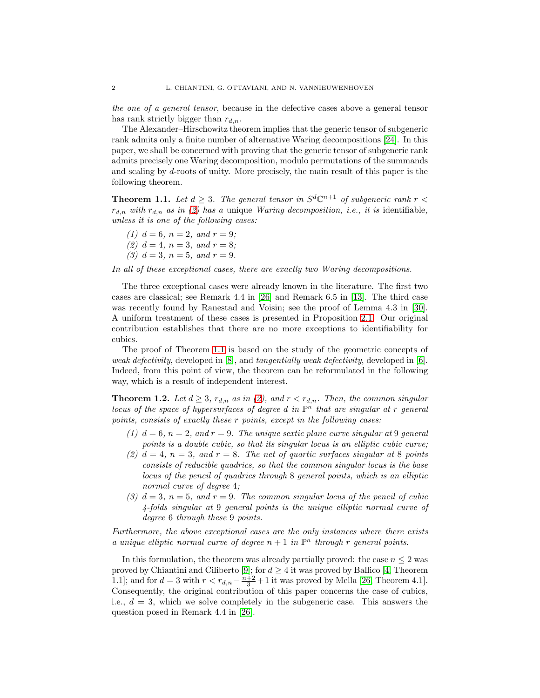*the one of a general tensor*, because in the defective cases above a general tensor has rank strictly bigger than  $r_{d,n}$ .

The Alexander–Hirschowitz theorem implies that the generic tensor of subgeneric rank admits only a finite number of alternative Waring decompositions [\[24\]](#page-19-1). In this paper, we shall be concerned with proving that the generic tensor of subgeneric rank admits precisely one Waring decomposition, modulo permutations of the summands and scaling by d-roots of unity. More precisely, the main result of this paper is the following theorem.

<span id="page-1-0"></span>**Theorem 1.1.** Let  $d \geq 3$ . The general tensor in  $S^d\mathbb{C}^{n+1}$  of subgeneric rank  $r <$  $r_{d,n}$  with  $r_{d,n}$  as in [\(2\)](#page-0-0) has a unique *Waring decomposition, i.e., it is* identifiable, *unless it is one of the following cases:*

*(1)*  $d = 6$ *,*  $n = 2$ *,* and  $r = 9$ *; (2)*  $d = 4, n = 3, and r = 8;$ *(3)*  $d = 3$ ,  $n = 5$ , and  $r = 9$ .

*In all of these exceptional cases, there are exactly two Waring decompositions.*

The three exceptional cases were already known in the literature. The first two cases are classical; see Remark 4.4 in [\[26\]](#page-19-2) and Remark 6.5 in [\[13\]](#page-18-1). The third case was recently found by Ranestad and Voisin; see the proof of Lemma 4.3 in [\[30\]](#page-19-3). A uniform treatment of these cases is presented in Proposition [2.1.](#page-3-0) Our original contribution establishes that there are no more exceptions to identifiability for cubics.

The proof of Theorem [1.1](#page-1-0) is based on the study of the geometric concepts of *weak defectivity*, developed in [\[8\]](#page-18-2), and *tangentially weak defectivity*, developed in [\[6\]](#page-18-3). Indeed, from this point of view, the theorem can be reformulated in the following way, which is a result of independent interest.

<span id="page-1-1"></span>**Theorem 1.2.** Let  $d \geq 3$ ,  $r_{d,n}$  as in [\(2\)](#page-0-0), and  $r < r_{d,n}$ . Then, the common singular *locus of the space of hypersurfaces of degree d in*  $\mathbb{P}^n$  *that are singular at r general points, consists of exactly these* r *points, except in the following cases:*

- *(1)*  $d = 6$ ,  $n = 2$ , and  $r = 9$ . The unique sextic plane curve singular at 9 general *points is a double cubic, so that its singular locus is an elliptic cubic curve;*
- (2)  $d = 4$ ,  $n = 3$ , and  $r = 8$ . The net of quartic surfaces singular at 8 points *consists of reducible quadrics, so that the common singular locus is the base locus of the pencil of quadrics through* 8 *general points, which is an elliptic normal curve of degree* 4*;*
- $(3)$   $d = 3$ ,  $n = 5$ , and  $r = 9$ . The common singular locus of the pencil of cubic *4-folds singular at* 9 *general points is the unique elliptic normal curve of degree* 6 *through these* 9 *points.*

*Furthermore, the above exceptional cases are the only instances where there exists a unique elliptic normal curve of degree*  $n + 1$  *in*  $\mathbb{P}^n$  *through r general points.* 

In this formulation, the theorem was already partially proved: the case  $n \leq 2$  was proved by Chiantini and Ciliberto [\[9\]](#page-18-4); for  $d \geq 4$  it was proved by Ballico [\[4,](#page-18-5) Theorem 1.1]; and for  $d = 3$  with  $r < r_{d,n} - \frac{n+2}{3} + 1$  it was proved by Mella [\[26,](#page-19-2) Theorem 4.1]. Consequently, the original contribution of this paper concerns the case of cubics, i.e.,  $d = 3$ , which we solve completely in the subgeneric case. This answers the question posed in Remark 4.4 in [\[26\]](#page-19-2).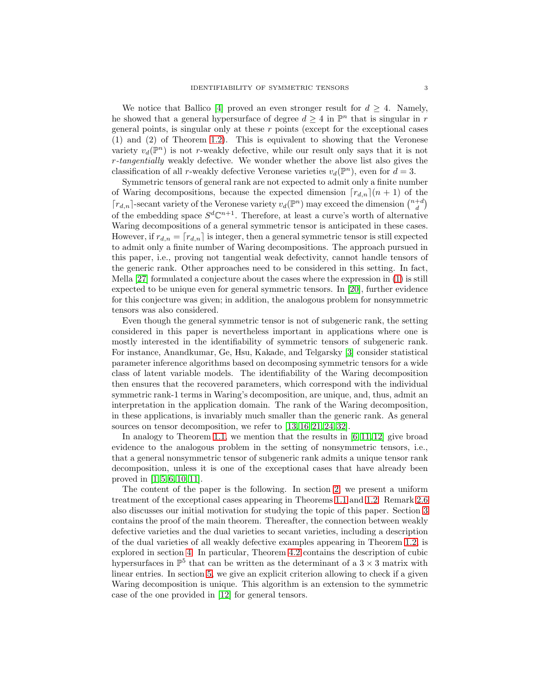We notice that Ballico [\[4\]](#page-18-5) proved an even stronger result for  $d \geq 4$ . Namely, he showed that a general hypersurface of degree  $d \geq 4$  in  $\mathbb{P}^n$  that is singular in r general points, is singular only at these  $r$  points (except for the exceptional cases (1) and (2) of Theorem [1.2\)](#page-1-1). This is equivalent to showing that the Veronese variety  $v_d(\mathbb{P}^n)$  is not r-weakly defective, while our result only says that it is not r*-tangentially* weakly defective. We wonder whether the above list also gives the classification of all r-weakly defective Veronese varieties  $v_d(\mathbb{P}^n)$ , even for  $d=3$ .

Symmetric tensors of general rank are not expected to admit only a finite number of Waring decompositions, because the expected dimension  $[r_{d,n}](n+1)$  of the  $\lceil r_{d,n} \rceil$ -secant variety of the Veronese variety  $v_d(\mathbb{P}^n)$  may exceed the dimension  $\binom{n+d}{d}$ of the embedding space  $S^d\mathbb{C}^{n+1}$ . Therefore, at least a curve's worth of alternative Waring decompositions of a general symmetric tensor is anticipated in these cases. However, if  $r_{d,n} = [r_{d,n}]$  is integer, then a general symmetric tensor is still expected to admit only a finite number of Waring decompositions. The approach pursued in this paper, i.e., proving not tangential weak defectivity, cannot handle tensors of the generic rank. Other approaches need to be considered in this setting. In fact, Mella [\[27\]](#page-19-4) formulated a conjecture about the cases where the expression in [\(1\)](#page-0-1) is still expected to be unique even for general symmetric tensors. In [\[20\]](#page-19-5), further evidence for this conjecture was given; in addition, the analogous problem for nonsymmetric tensors was also considered.

Even though the general symmetric tensor is not of subgeneric rank, the setting considered in this paper is nevertheless important in applications where one is mostly interested in the identifiability of symmetric tensors of subgeneric rank. For instance, Anandkumar, Ge, Hsu, Kakade, and Telgarsky [\[3\]](#page-18-6) consider statistical parameter inference algorithms based on decomposing symmetric tensors for a wide class of latent variable models. The identifiability of the Waring decomposition then ensures that the recovered parameters, which correspond with the individual symmetric rank-1 terms in Waring's decomposition, are unique, and, thus, admit an interpretation in the application domain. The rank of the Waring decomposition, in these applications, is invariably much smaller than the generic rank. As general sources on tensor decomposition, we refer to [\[13,](#page-18-1) [16,](#page-19-6) [21,](#page-19-0) [24,](#page-19-1) [32\]](#page-19-7).

In analogy to Theorem [1.1,](#page-1-0) we mention that the results in  $[6, 11, 12]$  $[6, 11, 12]$  $[6, 11, 12]$  give broad evidence to the analogous problem in the setting of nonsymmetric tensors, i.e., that a general nonsymmetric tensor of subgeneric rank admits a unique tensor rank decomposition, unless it is one of the exceptional cases that have already been proved in [\[1,](#page-18-9) [5,](#page-18-10) [6,](#page-18-3) [10,](#page-18-11) [11\]](#page-18-7).

The content of the paper is the following. In section [2,](#page-3-1) we present a uniform treatment of the exceptional cases appearing in Theorems [1.1](#page-1-0) and [1.2.](#page-1-1) Remark [2.6](#page-4-0) also discusses our initial motivation for studying the topic of this paper. Section [3](#page-4-1) contains the proof of the main theorem. Thereafter, the connection between weakly defective varieties and the dual varieties to secant varieties, including a description of the dual varieties of all weakly defective examples appearing in Theorem [1.2,](#page-1-1) is explored in section [4.](#page-11-0) In particular, Theorem [4.2](#page-12-0) contains the description of cubic hypersurfaces in  $\mathbb{P}^5$  that can be written as the determinant of a  $3 \times 3$  matrix with linear entries. In section [5,](#page-12-1) we give an explicit criterion allowing to check if a given Waring decomposition is unique. This algorithm is an extension to the symmetric case of the one provided in [\[12\]](#page-18-8) for general tensors.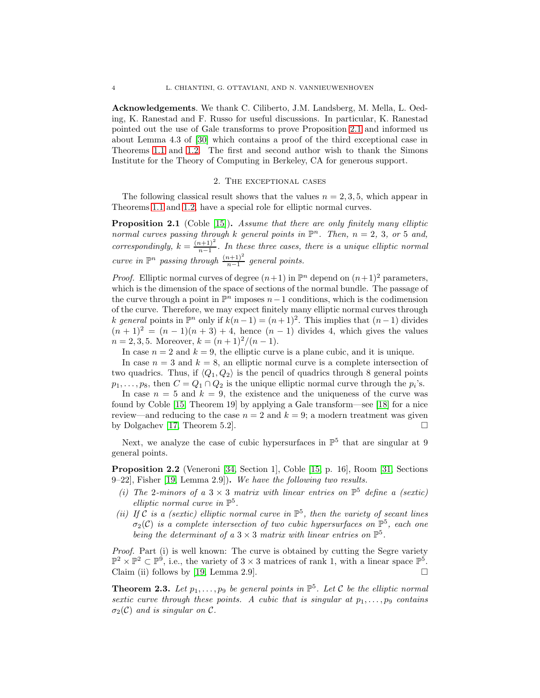Acknowledgements. We thank C. Ciliberto, J.M. Landsberg, M. Mella, L. Oeding, K. Ranestad and F. Russo for useful discussions. In particular, K. Ranestad pointed out the use of Gale transforms to prove Proposition [2.1](#page-3-0) and informed us about Lemma 4.3 of [\[30\]](#page-19-3) which contains a proof of the third exceptional case in Theorems [1.1](#page-1-0) and [1.2.](#page-1-1) The first and second author wish to thank the Simons Institute for the Theory of Computing in Berkeley, CA for generous support.

#### 2. The exceptional cases

<span id="page-3-1"></span>The following classical result shows that the values  $n = 2, 3, 5$ , which appear in Theorems [1.1](#page-1-0) and [1.2,](#page-1-1) have a special role for elliptic normal curves.

<span id="page-3-0"></span>Proposition 2.1 (Coble [\[15\]](#page-19-8)). *Assume that there are only finitely many elliptic normal curves passing through* k general points in  $\mathbb{P}^n$ . Then,  $n = 2, 3$ , or 5 and, *correspondingly,*  $k = \frac{(n+1)^2}{n-1}$  $\frac{n+1}{n-1}$ . In these three cases, there is a unique elliptic normal *curve in*  $\mathbb{P}^n$  *passing through*  $\frac{(n+1)^2}{n-1}$  *general points.* 

*Proof.* Elliptic normal curves of degree  $(n+1)$  in  $\mathbb{P}^n$  depend on  $(n+1)^2$  parameters, which is the dimension of the space of sections of the normal bundle. The passage of the curve through a point in  $\mathbb{P}^n$  imposes  $n-1$  conditions, which is the codimension of the curve. Therefore, we may expect finitely many elliptic normal curves through k general points in  $\mathbb{P}^n$  only if  $k(n-1) = (n+1)^2$ . This implies that  $(n-1)$  divides  $(n + 1)^2 = (n - 1)(n + 3) + 4$ , hence  $(n - 1)$  divides 4, which gives the values  $n = 2, 3, 5$ . Moreover,  $k = (n + 1)^2/(n - 1)$ .

In case  $n = 2$  and  $k = 9$ , the elliptic curve is a plane cubic, and it is unique.

In case  $n = 3$  and  $k = 8$ , an elliptic normal curve is a complete intersection of two quadrics. Thus, if  $\langle Q_1, Q_2 \rangle$  is the pencil of quadrics through 8 general points  $p_1, \ldots, p_8$ , then  $C = Q_1 \cap Q_2$  is the unique elliptic normal curve through the  $p_i$ 's.

In case  $n = 5$  and  $k = 9$ , the existence and the uniqueness of the curve was found by Coble [\[15,](#page-19-8) Theorem 19] by applying a Gale transform—see [\[18\]](#page-19-9) for a nice review—and reducing to the case  $n = 2$  and  $k = 9$ ; a modern treatment was given by Dolgachev [\[17,](#page-19-10) Theorem 5.2].  $\square$ 

Next, we analyze the case of cubic hypersurfaces in  $\mathbb{P}^5$  that are singular at 9 general points.

<span id="page-3-2"></span>Proposition 2.2 (Veneroni [\[34,](#page-19-11) Section 1], Coble [\[15,](#page-19-8) p. 16], Room [\[31,](#page-19-12) Sections 9–22], Fisher [\[19,](#page-19-13) Lemma 2.9]). *We have the following two results.*

- (*i*) The 2-minors of a  $3 \times 3$  matrix with linear entries on  $\mathbb{P}^5$  define a (sextic) *elliptic normal curve in*  $\mathbb{P}^5$ *.*
- (*ii*) If C is a (sextic) elliptic normal curve in  $\mathbb{P}^5$ , then the variety of secant lines  $\sigma_2(\mathcal{C})$  *is a complete intersection of two cubic hypersurfaces on*  $\mathbb{P}^5$ *, each one* being the determinant of a  $3 \times 3$  matrix with linear entries on  $\mathbb{P}^5$ .

*Proof.* Part (i) is well known: The curve is obtained by cutting the Segre variety  $\mathbb{P}^2 \times \mathbb{P}^2 \subset \mathbb{P}^9$ , i.e., the variety of  $3 \times 3$  matrices of rank 1, with a linear space  $\mathbb{P}^5$ . Claim (ii) follows by [\[19,](#page-19-13) Lemma 2.9].  $\Box$ 

<span id="page-3-3"></span>**Theorem 2.3.** Let  $p_1, \ldots, p_9$  be general points in  $\mathbb{P}^5$ . Let C be the elliptic normal *sextic curve through these points. A cubic that is singular at*  $p_1, \ldots, p_9$  *contains*  $\sigma_2(\mathcal{C})$  *and is singular on*  $\mathcal{C}$ *.*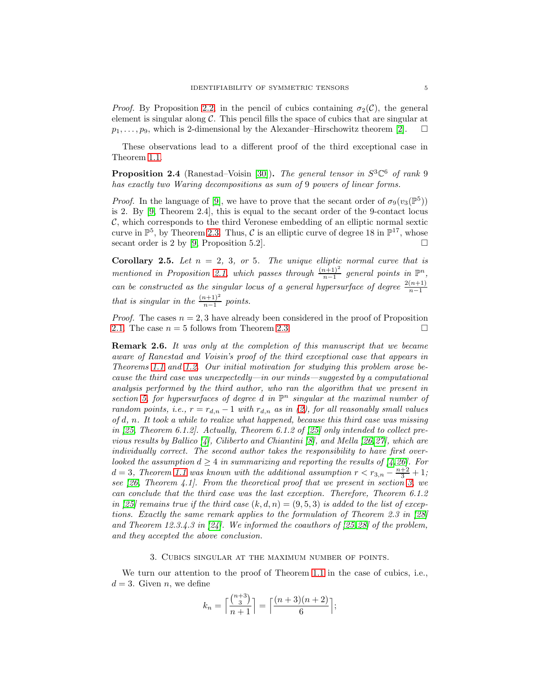*Proof.* By Proposition [2.2,](#page-3-2) in the pencil of cubics containing  $\sigma_2(\mathcal{C})$ , the general element is singular along  $\mathcal{C}$ . This pencil fills the space of cubics that are singular at  $p_1, \ldots, p_9$ , which is 2-dimensional by the Alexander–Hirschowitz theorem [\[2\]](#page-18-0).  $\square$ 

These observations lead to a different proof of the third exceptional case in Theorem [1.1.](#page-1-0)

**Proposition 2.4** (Ranestad–Voisin [\[30\]](#page-19-3)). *The general tensor in*  $S^3\mathbb{C}^6$  *of rank* 9 *has exactly two Waring decompositions as sum of* 9 *powers of linear forms.*

*Proof.* In the language of [\[9\]](#page-18-4), we have to prove that the secant order of  $\sigma_9(v_3(\mathbb{P}^5))$ is 2. By [\[9,](#page-18-4) Theorem 2.4], this is equal to the secant order of the 9-contact locus  $\mathcal{C}$ , which corresponds to the third Veronese embedding of an elliptic normal sextic curve in  $\mathbb{P}^5$ , by Theorem [2.3.](#page-3-3) Thus, C is an elliptic curve of degree 18 in  $\mathbb{P}^{17}$ , whose secant order is 2 by [\[9,](#page-18-4) Proposition 5.2].

**Corollary 2.5.** Let  $n = 2, 3, or 5$ . The unique elliptic normal curve that is *mentioned in Proposition [2.1,](#page-3-0)* which passes through  $\frac{(n+1)^2}{n-1}$  general points in  $\mathbb{P}^n$ , *can be constructed as the singular locus of a general hypersurface of degree*  $\frac{2(n+1)}{n-1}$ *that is singular in the*  $\frac{(n+1)^2}{n-1}$  *points.* 

*Proof.* The cases  $n = 2, 3$  have already been considered in the proof of Proposition [2.1.](#page-3-0) The case  $n = 5$  follows from Theorem [2.3.](#page-3-3)

<span id="page-4-0"></span>Remark 2.6. *It was only at the completion of this manuscript that we became aware of Ranestad and Voisin's proof of the third exceptional case that appears in Theorems [1.1](#page-1-0) and [1.2.](#page-1-1) Our initial motivation for studying this problem arose because the third case was unexpectedly—in our minds—suggested by a computational analysis performed by the third author, who ran the algorithm that we present in* section [5,](#page-12-1) for hypersurfaces of degree d in  $\mathbb{P}^n$  singular at the maximal number of *random points, i.e.,*  $r = r_{d,n} - 1$  *with*  $r_{d,n}$  *as in* [\(2\)](#page-0-0)*, for all reasonably small values of* d*,* n*. It took a while to realize what happened, because this third case was missing in [\[25,](#page-19-14) Theorem 6.1.2]. Actually, Theorem 6.1.2 of [\[25\]](#page-19-14) only intended to collect previous results by Ballico [\[4\]](#page-18-5), Ciliberto and Chiantini [\[8\]](#page-18-2), and Mella [\[26,](#page-19-2)[27\]](#page-19-4), which are individually correct. The second author takes the responsibility to have first overlooked the assumption*  $d \geq 4$  *in summarizing and reporting the results of* [\[4,](#page-18-5) [26\]](#page-19-2)*.* For  $d = 3$ , Theorem [1.1](#page-1-0) was known with the additional assumption  $r < r_{3,n} - \frac{n+2}{3} + 1$ ; *see [\[26,](#page-19-2) Theorem 4.1]. From the theoretical proof that we present in section [3,](#page-4-1) we can conclude that the third case was the last exception. Therefore, Theorem 6.1.2 in* [\[25\]](#page-19-14) remains true if the third case  $(k, d, n) = (9, 5, 3)$  is added to the list of excep*tions. Exactly the same remark applies to the formulation of Theorem 2.3 in [\[28\]](#page-19-15) and Theorem 12.3.4.3 in [\[24\]](#page-19-1). We informed the coauthors of [\[25,](#page-19-14)[28\]](#page-19-15) of the problem, and they accepted the above conclusion.*

#### 3. Cubics singular at the maximum number of points.

<span id="page-4-1"></span>We turn our attention to the proof of Theorem [1.1](#page-1-0) in the case of cubics, i.e.,  $d = 3$ . Given n, we define

$$
k_n = \left\lceil \frac{\binom{n+3}{3}}{n+1} \right\rceil = \left\lceil \frac{(n+3)(n+2)}{6} \right\rceil;
$$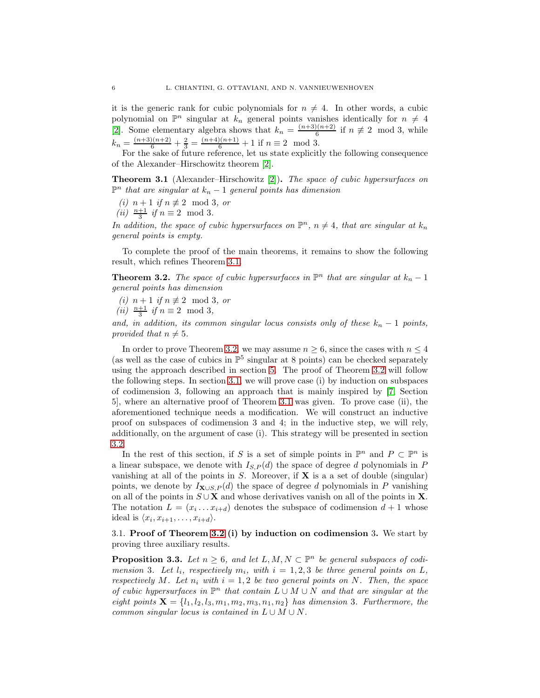it is the generic rank for cubic polynomials for  $n \neq 4$ . In other words, a cubic polynomial on  $\mathbb{P}^n$  singular at  $k_n$  general points vanishes identically for  $n \neq 4$ [\[2\]](#page-18-0). Some elementary algebra shows that  $k_n = \frac{(n+3)(n+2)}{6}$  if  $n \neq 2 \mod 3$ , while 6  $k_n = \frac{(n+3)(n+2)}{6} + \frac{2}{3} = \frac{(n+4)(n+1)}{6} + 1$  if  $n \equiv 2 \mod 3$ .

For the sake of future reference, let us state explicitly the following consequence of the Alexander–Hirschowitz theorem [\[2\]](#page-18-0).

<span id="page-5-0"></span>Theorem 3.1 (Alexander–Hirschowitz [\[2\]](#page-18-0)). *The space of cubic hypersurfaces on*  $\mathbb{P}^n$  *that are singular at*  $k_n - 1$  *general points has dimension* 

*(i)*  $n + 1$  *if*  $n ≠ 2 \mod 3$ *, or* 

$$
(ii) \ \frac{n+1}{3} \text{ if } n \equiv 2 \mod 3.
$$

In addition, the space of cubic hypersurfaces on  $\mathbb{P}^n$ ,  $n \neq 4$ , that are singular at  $k_n$ *general points is empty.*

To complete the proof of the main theorems, it remains to show the following result, which refines Theorem [3.1.](#page-5-0)

<span id="page-5-1"></span>**Theorem 3.2.** *The space of cubic hypersurfaces in*  $\mathbb{P}^n$  *that are singular at*  $k_n - 1$ *general points has dimension*

*(i)*  $n + 1$  *if*  $n ≠ 2 \mod 3$ *, or* 

*(ii)*  $\frac{n+1}{3}$  *if*  $n \equiv 2 \mod 3$ ,

*and, in addition, its common singular locus consists only of these*  $k_n - 1$  *points, provided that*  $n \neq 5$ *.* 

In order to prove Theorem [3.2,](#page-5-1) we may assume  $n \geq 6$ , since the cases with  $n \leq 4$ (as well as the case of cubics in  $\mathbb{P}^5$  singular at 8 points) can be checked separately using the approach described in section [5.](#page-12-1) The proof of Theorem [3.2](#page-5-1) will follow the following steps. In section [3.1,](#page-5-2) we will prove case (i) by induction on subspaces of codimension 3, following an approach that is mainly inspired by [\[7,](#page-18-12) Section 5], where an alternative proof of Theorem [3.1](#page-5-0) was given. To prove case (ii), the aforementioned technique needs a modification. We will construct an inductive proof on subspaces of codimension 3 and 4; in the inductive step, we will rely, additionally, on the argument of case (i). This strategy will be presented in section [3.2.](#page-8-0)

In the rest of this section, if S is a set of simple points in  $\mathbb{P}^n$  and  $P \subset \mathbb{P}^n$  is a linear subspace, we denote with  $I_{S,P}(d)$  the space of degree d polynomials in P vanishing at all of the points in  $S$ . Moreover, if  $X$  is a a set of double (singular) points, we denote by  $I_{\mathbf{X}\cup S,P}(d)$  the space of degree d polynomials in P vanishing on all of the points in  $S \cup X$  and whose derivatives vanish on all of the points in X. The notation  $L = (x_i \dots x_{i+d})$  denotes the subspace of codimension  $d+1$  whose ideal is  $\langle x_i, x_{i+1}, \ldots, x_{i+d} \rangle$ .

<span id="page-5-2"></span>3.1. Proof of Theorem [3.2](#page-5-1) (i) by induction on codimension 3. We start by proving three auxiliary results.

<span id="page-5-3"></span>**Proposition 3.3.** Let  $n \geq 6$ , and let  $L, M, N \subset \mathbb{P}^n$  be general subspaces of codi*mension* 3*. Let*  $l_i$ *, respectively*  $m_i$ *, with*  $i = 1, 2, 3$  *be three general points on*  $L$ *, respectively* M. Let  $n_i$  with  $i = 1, 2$  be two general points on N. Then, the space *of cubic hypersurfaces in*  $\mathbb{P}^n$  *that contain*  $L \cup M \cup N$  *and that are singular at the eight points*  $\mathbf{X} = \{l_1, l_2, l_3, m_1, m_2, m_3, n_1, n_2\}$  *has dimension* 3*. Furthermore, the common singular locus is contained in*  $L \cup M \cup N$ .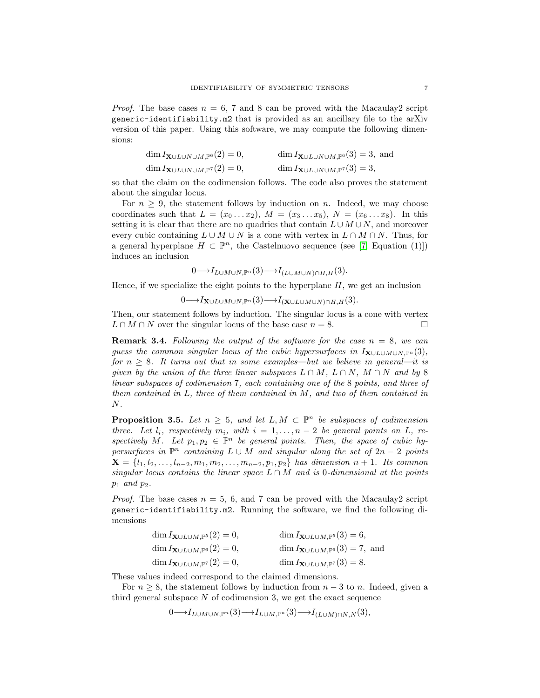*Proof.* The base cases  $n = 6$ , 7 and 8 can be proved with the Macaulay 2 script generic-identifiability.m2 that is provided as an ancillary file to the arXiv version of this paper. Using this software, we may compute the following dimensions:

| $\dim I_{\mathbf{X}\cup L\cup N\cup M,\mathbb{P}^6}(2)=0,$ | $\dim I_{\mathbf{X}\cup L\cup N\cup M,\mathbb{P}^6}(3)=3$ , and |
|------------------------------------------------------------|-----------------------------------------------------------------|
| $\dim I_{\mathbf{X}\cup L\cup N\cup M,\mathbb{P}^7}(2)=0,$ | $\dim I_{\mathbf{X}\cup L\cup N\cup M,\mathbb{P}^7}(3)=3,$      |

so that the claim on the codimension follows. The code also proves the statement about the singular locus.

For  $n \geq 9$ , the statement follows by induction on n. Indeed, we may choose coordinates such that  $L = (x_0 \dots x_2), M = (x_3 \dots x_5), N = (x_6 \dots x_8).$  In this setting it is clear that there are no quadrics that contain  $L \cup M \cup N$ , and moreover every cubic containing  $L \cup M \cup N$  is a cone with vertex in  $L \cap M \cap N$ . Thus, for a general hyperplane  $H \subset \mathbb{P}^n$ , the Castelnuovo sequence (see [\[7,](#page-18-12) Equation (1)]) induces an inclusion

$$
0 \longrightarrow I_{L\cup M\cup N,\mathbb{P}^n}(3) \longrightarrow I_{(L\cup M\cup N)\cap H,H}(3).
$$

Hence, if we specialize the eight points to the hyperplane  $H$ , we get an inclusion

$$
0 \longrightarrow I_{\mathbf{X} \cup L \cup M \cup N, \mathbb{P}^n}(3) \longrightarrow I_{(\mathbf{X} \cup L \cup M \cup N) \cap H, H}(3).
$$

Then, our statement follows by induction. The singular locus is a cone with vertex  $L \cap M \cap N$  over the singular locus of the base case  $n = 8$ .

**Remark 3.4.** Following the output of the software for the case  $n = 8$ , we can *guess the common singular locus of the cubic hypersurfaces in*  $I_{\mathbf{X}\cup L\cup M\cup N}$ , $\mathbb{P}^n(3)$ , *for*  $n \geq 8$ *. It turns out that in some examples—but we believe in general—it is given by the union of the three linear subspaces*  $L \cap M$ ,  $L \cap N$ ,  $M \cap N$  *and by* 8 *linear subspaces of codimension* 7*, each containing one of the* 8 *points, and three of them contained in* L*, three of them contained in* M*, and two of them contained in* N*.*

<span id="page-6-0"></span>**Proposition 3.5.** Let  $n \geq 5$ , and let  $L, M \subset \mathbb{P}^n$  be subspaces of codimension *three.* Let  $l_i$ , respectively  $m_i$ , with  $i = 1, ..., n-2$  be general points on L, respectively M. Let  $p_1, p_2 \in \mathbb{P}^n$  be general points. Then, the space of cubic hy $persurfaces$  in  $\mathbb{P}^n$  *containing*  $L \cup M$  *and singular along the set of*  $2n - 2$  *points*  $X = \{l_1, l_2, \ldots, l_{n-2}, m_1, m_2, \ldots, m_{n-2}, p_1, p_2\}$  has dimension  $n+1$ . Its common *singular locus contains the linear space*  $L \cap M$  *and is* 0*-dimensional at the points*  $p_1$  *and*  $p_2$ *.* 

*Proof.* The base cases  $n = 5, 6$ , and 7 can be proved with the Macaulay 2 script generic-identifiability.m2. Running the software, we find the following dimensions

| $\dim I_{\mathbf{X}\cup L\cup M,\mathbb{P}^5}(2)=0,$ | $\dim I_{\mathbf{X}\cup L\cup M,\mathbb{P}^{5}}(3)=6,$    |
|------------------------------------------------------|-----------------------------------------------------------|
| $\dim I_{\mathbf{X}\cup L\cup M,\mathbb{P}^6}(2)=0,$ | $\dim I_{\mathbf{X}\cup L\cup M,\mathbb{P}^6}(3)=7$ , and |
| $\dim I_{\mathbf{X}\cup L\cup M,\mathbb{P}^7}(2)=0,$ | $\dim I_{\mathbf{X}\cup L\cup M,\mathbb{P}^7}(3)=8.$      |

These values indeed correspond to the claimed dimensions.

For  $n \geq 8$ , the statement follows by induction from  $n-3$  to n. Indeed, given a third general subspace  $N$  of codimension 3, we get the exact sequence

 $0 \longrightarrow I_{L\cup M\cup N,\mathbb{P}^n}(3) \longrightarrow I_{L\cup M,\mathbb{P}^n}(3) \longrightarrow I_{(L\cup M)\cap N,N}(3),$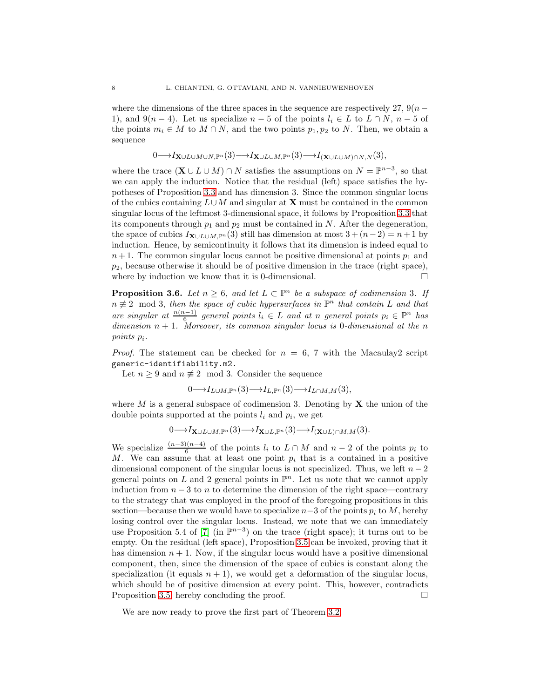where the dimensions of the three spaces in the sequence are respectively 27,  $9(n -$ 1), and  $9(n-4)$ . Let us specialize  $n-5$  of the points  $l_i \in L$  to  $L \cap N$ ,  $n-5$  of the points  $m_i \in M$  to  $M \cap N$ , and the two points  $p_1, p_2$  to N. Then, we obtain a sequence

$$
0 \longrightarrow I_{\mathbf{X}\cup L\cup M\cup N,\mathbb{P}^n}(3) \longrightarrow I_{\mathbf{X}\cup L\cup M,\mathbb{P}^n}(3) \longrightarrow I_{(\mathbf{X}\cup L\cup M)\cap N,N}(3),
$$

where the trace  $(\mathbf{X} \cup L \cup M) \cap N$  satisfies the assumptions on  $N = \mathbb{P}^{n-3}$ , so that we can apply the induction. Notice that the residual (left) space satisfies the hypotheses of Proposition [3.3](#page-5-3) and has dimension 3. Since the common singular locus of the cubics containing  $L \cup M$  and singular at **X** must be contained in the common singular locus of the leftmost 3-dimensional space, it follows by Proposition [3.3](#page-5-3) that its components through  $p_1$  and  $p_2$  must be contained in N. After the degeneration, the space of cubics  $I_{\mathbf{X}\cup L\cup M,\mathbb{P}^n}(3)$  still has dimension at most  $3 + (n-2) = n+1$  by induction. Hence, by semicontinuity it follows that its dimension is indeed equal to  $n + 1$ . The common singular locus cannot be positive dimensional at points  $p_1$  and  $p_2$ , because otherwise it should be of positive dimension in the trace (right space), where by induction we know that it is 0-dimensional.  $\Box$ 

<span id="page-7-0"></span>**Proposition 3.6.** *Let*  $n \geq 6$ *, and let*  $L \subset \mathbb{P}^n$  *be a subspace of codimension* 3*. If*  $n \not\equiv 2 \mod 3$ , then the space of cubic hypersurfaces in  $\mathbb{P}^n$  that contain L and that *are singular at*  $\frac{n(n-1)}{6}$  *general points*  $l_i \in L$  *and at n general points*  $p_i \in \mathbb{P}^n$  *has dimension* n + 1*. Moreover, its common singular locus is* 0*-dimensional at the* n *points* pi*.*

*Proof.* The statement can be checked for  $n = 6$ , 7 with the Macaulay2 script generic-identifiability.m2.

Let  $n \geq 9$  and  $n \not\equiv 2 \mod 3$ . Consider the sequence

$$
0{\longrightarrow} I_{L\cup M,{\mathbb P}^n}(3){\longrightarrow} I_{L,{\mathbb P}^n}(3){\longrightarrow} I_{L\cap M,M}(3),
$$

where M is a general subspace of codimension 3. Denoting by  $X$  the union of the double points supported at the points  $l_i$  and  $p_i$ , we get

$$
0 \longrightarrow I_{\mathbf{X} \cup L \cup M, \mathbb{P}^n}(3) \longrightarrow I_{\mathbf{X} \cup L, \mathbb{P}^n}(3) \longrightarrow I_{(\mathbf{X} \cup L) \cap M, M}(3).
$$

We specialize  $\frac{(n-3)(n-4)}{6}$  of the points  $l_i$  to  $L \cap M$  and  $n-2$  of the points  $p_i$  to M. We can assume that at least one point  $p_i$  that is a contained in a positive dimensional component of the singular locus is not specialized. Thus, we left  $n-2$ general points on L and 2 general points in  $\mathbb{P}^n$ . Let us note that we cannot apply induction from  $n-3$  to n to determine the dimension of the right space—contrary to the strategy that was employed in the proof of the foregoing propositions in this section—because then we would have to specialize  $n-3$  of the points  $p_i$  to M, hereby losing control over the singular locus. Instead, we note that we can immediately use Proposition 5.4 of [\[7\]](#page-18-12) (in  $\mathbb{P}^{n-3}$ ) on the trace (right space); it turns out to be empty. On the residual (left space), Proposition [3.5](#page-6-0) can be invoked, proving that it has dimension  $n + 1$ . Now, if the singular locus would have a positive dimensional component, then, since the dimension of the space of cubics is constant along the specialization (it equals  $n + 1$ ), we would get a deformation of the singular locus, which should be of positive dimension at every point. This, however, contradicts Proposition [3.5,](#page-6-0) hereby concluding the proof.

We are now ready to prove the first part of Theorem [3.2.](#page-5-1)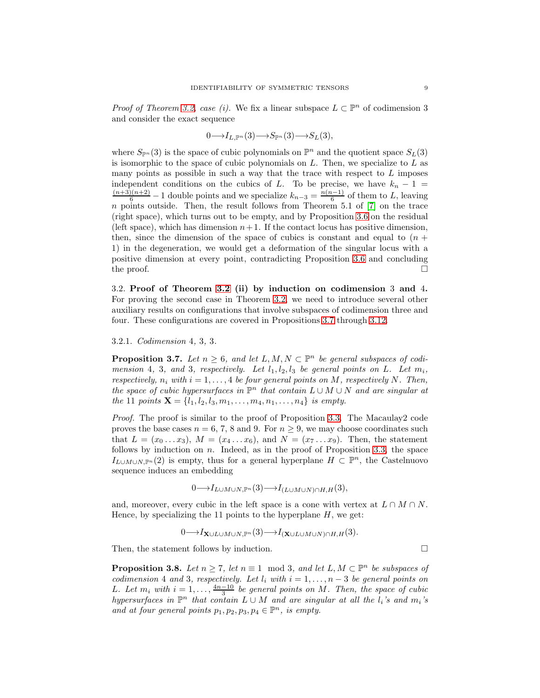*Proof of Theorem [3.2,](#page-5-1) case (i).* We fix a linear subspace  $L \subset \mathbb{P}^n$  of codimension 3 and consider the exact sequence

$$
0{\longrightarrow} I_{L,{\mathbb P}^n}(3){\longrightarrow} S_{{\mathbb P}^n}(3){\longrightarrow} S_L(3),
$$

where  $S_{\mathbb{P}^n}(3)$  is the space of cubic polynomials on  $\mathbb{P}^n$  and the quotient space  $S_L(3)$ is isomorphic to the space of cubic polynomials on  $L$ . Then, we specialize to  $L$  as many points as possible in such a way that the trace with respect to  $L$  imposes independent conditions on the cubics of L. To be precise, we have  $k_n - 1 =$  $\frac{(n+3)(n+2)}{6} - 1$  double points and we specialize  $k_{n-3} = \frac{n(n-1)}{6}$  $\frac{(-1)}{6}$  of them to L, leaving  $n$  points outside. Then, the result follows from Theorem 5.1 of  $[7]$  on the trace (right space), which turns out to be empty, and by Proposition [3.6](#page-7-0) on the residual (left space), which has dimension  $n+1$ . If the contact locus has positive dimension, then, since the dimension of the space of cubics is constant and equal to  $(n +$ 1) in the degeneration, we would get a deformation of the singular locus with a positive dimension at every point, contradicting Proposition [3.6](#page-7-0) and concluding the proof.  $\Box$ 

<span id="page-8-0"></span>3.2. Proof of Theorem [3.2](#page-5-1) (ii) by induction on codimension 3 and 4. For proving the second case in Theorem [3.2,](#page-5-1) we need to introduce several other auxiliary results on configurations that involve subspaces of codimension three and four. These configurations are covered in Propositions [3.7](#page-8-1) through [3.12.](#page-10-0)

3.2.1. *Codimension* 4*,* 3*,* 3*.*

<span id="page-8-1"></span>**Proposition 3.7.** Let  $n \geq 6$ , and let  $L, M, N \subset \mathbb{P}^n$  be general subspaces of codi*mension* 4, 3, and 3, respectively. Let  $l_1, l_2, l_3$  be general points on L. Let  $m_i$ , *respectively,*  $n_i$  *with*  $i = 1, \ldots, 4$  *be four general points on* M, respectively N. Then, *the space of cubic hypersurfaces in*  $\mathbb{P}^n$  *that contain*  $L \cup M \cup N$  *and are singular at the* 11 *points*  $X = \{l_1, l_2, l_3, m_1, \ldots, m_4, n_1, \ldots, n_4\}$  *is empty.* 

*Proof.* The proof is similar to the proof of Proposition [3.3.](#page-5-3) The Macaulay2 code proves the base cases  $n = 6, 7, 8$  and 9. For  $n \ge 9$ , we may choose coordinates such that  $L = (x_0 \ldots x_3), M = (x_4 \ldots x_6),$  and  $N = (x_7 \ldots x_9)$ . Then, the statement follows by induction on  $n$ . Indeed, as in the proof of Proposition [3.3,](#page-5-3) the space  $I_{L\cup M\cup N,\mathbb{P}^n}(2)$  is empty, thus for a general hyperplane  $H\subset\mathbb{P}^n$ , the Castelnuovo sequence induces an embedding

$$
0 \longrightarrow I_{L\cup M\cup N,\mathbb{P}^n}(3) \longrightarrow I_{(L\cup M\cup N)\cap H,H}(3),
$$

and, moreover, every cubic in the left space is a cone with vertex at  $L \cap M \cap N$ . Hence, by specializing the 11 points to the hyperplane  $H$ , we get:

 $0 \longrightarrow I_{\mathbf{X}\cup L\cup M\cup N,\mathbb{P}^n}(3) \longrightarrow I_{(\mathbf{X}\cup L\cup M\cup N)\cap H,H}(3).$ 

Then, the statement follows by induction.

<span id="page-8-2"></span>**Proposition 3.8.** *Let*  $n \geq 7$ *, let*  $n \equiv 1 \mod 3$ *, and let*  $L, M \subset \mathbb{P}^n$  *be subspaces of codimension* 4 *and* 3*, respectively. Let*  $l_i$  *with*  $i = 1, \ldots, n-3$  *be general points on* L. Let  $m_i$  with  $i = 1, \ldots, \frac{4n-10}{3}$  be general points on M. Then, the space of cubic *hypersurfaces in*  $\mathbb{P}^n$  *that contain*  $L \cup M$  *and are singular at all the*  $l_i$ *'s and*  $m_i$ *'s* and at four general points  $p_1, p_2, p_3, p_4 \in \mathbb{P}^n$ , is empty.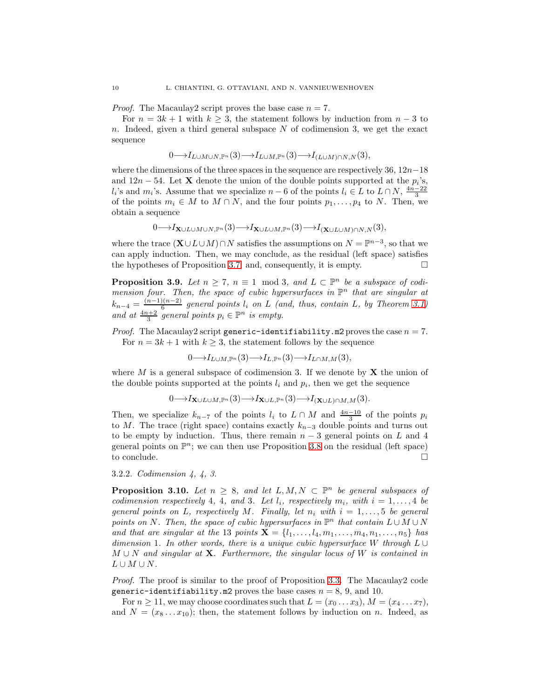*Proof.* The Macaulay2 script proves the base case  $n = 7$ .

For  $n = 3k + 1$  with  $k \geq 3$ , the statement follows by induction from  $n - 3$  to n. Indeed, given a third general subspace N of codimension 3, we get the exact sequence

$$
0 \longrightarrow I_{L\cup M\cup N,\mathbb{P}^n}(3) \longrightarrow I_{L\cup M,\mathbb{P}^n}(3) \longrightarrow I_{(L\cup M)\cap N,N}(3),
$$

where the dimensions of the three spaces in the sequence are respectively 36,  $12n-18$ and  $12n - 54$ . Let **X** denote the union of the double points supported at the  $p_i$ 's,  $l_i$ 's and  $m_i$ 's. Assume that we specialize  $n-6$  of the points  $l_i \in L$  to  $L \cap N$ ,  $\frac{4n-22}{3}$ of the points  $m_i \in M$  to  $M \cap N$ , and the four points  $p_1, \ldots, p_4$  to N. Then, we obtain a sequence

$$
0 \longrightarrow I_{\mathbf{X}\cup L\cup M\cup N,\mathbb{P}^n}(3) \longrightarrow I_{\mathbf{X}\cup L\cup M,\mathbb{P}^n}(3) \longrightarrow I_{(\mathbf{X}\cup L\cup M)\cap N,N}(3),
$$

where the trace  $(\mathbf{X} \cup L \cup M) \cap N$  satisfies the assumptions on  $N = \mathbb{P}^{n-3}$ , so that we can apply induction. Then, we may conclude, as the residual (left space) satisfies the hypotheses of Proposition [3.7,](#page-8-1) and, consequently, it is empty.  $\Box$ 

<span id="page-9-1"></span>**Proposition 3.9.** *Let*  $n \geq 7$ ,  $n \equiv 1 \mod 3$ , and  $L \subset \mathbb{P}^n$  be a subspace of codimension four. Then, the space of cubic hypersurfaces in  $\mathbb{P}^n$  that are singular at  $k_{n-4} = \frac{(n-1)(n-2)}{6}$  $\frac{1}{6}$  general points  $l_i$  on  $L$  (and, thus, contain  $L$ , by Theorem [3.1\)](#page-5-0) and at  $\frac{4n+2}{3}$  general points  $p_i \in \mathbb{P}^n$  is empty.

*Proof.* The Macaulay2 script generic-identifiability.m2 proves the case  $n = 7$ . For  $n = 3k + 1$  with  $k \geq 3$ , the statement follows by the sequence

$$
0 \longrightarrow I_{L\cup M,\mathbb{P}^n}(3) \longrightarrow I_{L,\mathbb{P}^n}(3) \longrightarrow I_{L\cap M,M}(3),
$$

where  $M$  is a general subspace of codimension 3. If we denote by  $X$  the union of the double points supported at the points  $l_i$  and  $p_i$ , then we get the sequence

$$
0 \longrightarrow I_{\mathbf{X} \cup L \cup M, \mathbb{P}^n}(3) \longrightarrow I_{\mathbf{X} \cup L, \mathbb{P}^n}(3) \longrightarrow I_{(\mathbf{X} \cup L) \cap M, M}(3).
$$

Then, we specialize  $k_{n-7}$  of the points  $l_i$  to  $L \cap M$  and  $\frac{4n-10}{3}$  of the points  $p_i$ to M. The trace (right space) contains exactly  $k_{n-3}$  double points and turns out to be empty by induction. Thus, there remain  $n-3$  general points on L and 4 general points on  $\mathbb{P}^n$ ; we can then use Proposition [3.8](#page-8-2) on the residual (left space) to conclude.  $\Box$ 

### 3.2.2. *Codimension 4, 4, 3.*

<span id="page-9-0"></span>**Proposition 3.10.** Let  $n \geq 8$ , and let  $L, M, N \subset \mathbb{P}^n$  be general subspaces of *codimension respectively* 4, 4, and 3*. Let*  $l_i$ *, respectively*  $m_i$ *, with*  $i = 1, \ldots, 4$  *be general points on* L, respectively M. Finally, let  $n_i$  with  $i = 1, \ldots, 5$  be general *points on* N. Then, the space of cubic hypersurfaces in  $\mathbb{P}^n$  that contain  $L \cup M \cup N$ *and that are singular at the* 13 *points*  $X = \{l_1, ..., l_4, m_1, ..., m_4, n_1, ..., n_5\}$  *has dimension* 1*. In other words, there is a unique cubic hypersurface* W *through* L ∪ M ∪ N *and singular at* X*. Furthermore, the singular locus of* W *is contained in*  $L \cup M \cup N$ .

*Proof.* The proof is similar to the proof of Proposition [3.3.](#page-5-3) The Macaulay2 code generic-identifiability.m2 proves the base cases  $n = 8, 9$ , and 10.

For  $n \geq 11$ , we may choose coordinates such that  $L = (x_0 \dots x_3)$ ,  $M = (x_4 \dots x_7)$ , and  $N = (x_8 \dots x_{10})$ ; then, the statement follows by induction on n. Indeed, as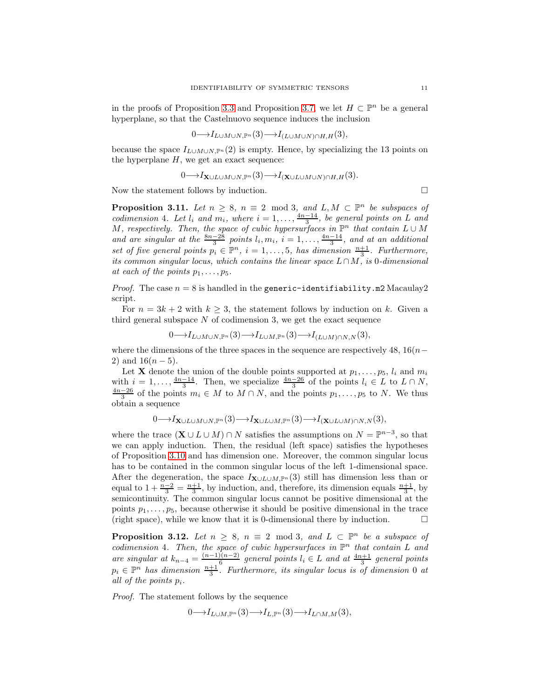in the proofs of Proposition [3.3](#page-5-3) and Proposition [3.7,](#page-8-1) we let  $H \subset \mathbb{P}^n$  be a general hyperplane, so that the Castelnuovo sequence induces the inclusion

$$
0 \longrightarrow I_{L\cup M\cup N,\mathbb{P}^n}(3) \longrightarrow I_{(L\cup M\cup N)\cap H,H}(3),
$$

because the space  $I_{L\cup M\cup N,\mathbb{P}^n}(2)$  is empty. Hence, by specializing the 13 points on the hyperplane  $H$ , we get an exact sequence:

$$
0 \longrightarrow I_{\mathbf{X} \cup L \cup M \cup N, \mathbb{P}^n}(3) \longrightarrow I_{(\mathbf{X} \cup L \cup M \cup N) \cap H, H}(3).
$$

Now the statement follows by induction.  $\Box$ 

<span id="page-10-1"></span>**Proposition 3.11.** *Let*  $n \geq 8$ ,  $n \equiv 2 \mod 3$ , and  $L, M \subset \mathbb{P}^n$  *be subspaces of codimension* 4*. Let*  $l_i$  *and*  $m_i$ *, where*  $i = 1, \ldots, \frac{4n-14}{3}$ *, be general points on* L *and*  $M$ , respectively. Then, the space of cubic hypersurfaces in  $\mathbb{P}^n$  that contain  $L \cup M$ and are singular at the  $\frac{8n-28}{3}$  points  $l_i, m_i$ ,  $i = 1, \ldots, \frac{4n-14}{3}$ , and at an additional *set of five general points*  $p_i \in \mathbb{P}^n$ ,  $i = 1, ..., 5$ , has dimension  $\frac{n+1}{3}$ . Furthermore, *its common singular locus, which contains the linear space* L∩M*, is* 0*-dimensional at each of the points*  $p_1, \ldots, p_5$ .

*Proof.* The case  $n = 8$  is handled in the generic-identifiability.m2 Macaulay2 script.

For  $n = 3k + 2$  with  $k \geq 3$ , the statement follows by induction on k. Given a third general subspace  $N$  of codimension 3, we get the exact sequence

$$
0 \longrightarrow I_{L\cup M\cup N,\mathbb{P}^n}(3) \longrightarrow I_{L\cup M,\mathbb{P}^n}(3) \longrightarrow I_{(L\cup M)\cap N,N}(3),
$$

where the dimensions of the three spaces in the sequence are respectively 48,  $16(n-$ 2) and  $16(n-5)$ .

Let **X** denote the union of the double points supported at  $p_1, \ldots, p_5, l_i$  and  $m_i$ with  $i = 1, ..., \frac{4n-14}{3}$ . Then, we specialize  $\frac{4n-26}{3}$  of the points  $l_i \in L$  to  $L \cap N$ ,  $\frac{4n-26}{3}$  of the points  $m_i \in M$  to  $M \cap N$ , and the points  $p_1, ..., p_5$  to  $N$ . We thus obtain a sequence

$$
0{\longrightarrow} I_{{\mathbf{X}}\cup L\cup M\cup N,{\mathbb{P}}^n}(3){\longrightarrow} I_{{\mathbf{X}}\cup L\cup M,{\mathbb{P}}^n}(3){\longrightarrow} I_{({\mathbf{X}}\cup L\cup M)\cap N,N}(3),
$$

where the trace  $(\mathbf{X} \cup L \cup M) \cap N$  satisfies the assumptions on  $N = \mathbb{P}^{n-3}$ , so that we can apply induction. Then, the residual (left space) satisfies the hypotheses of Proposition [3.10](#page-9-0) and has dimension one. Moreover, the common singular locus has to be contained in the common singular locus of the left 1-dimensional space. After the degeneration, the space  $I_{\mathbf{X}\cup L\cup M,\mathbb{P}^{n}}(3)$  still has dimension less than or equal to  $1 + \frac{n-2}{3} = \frac{n+1}{3}$ , by induction, and, therefore, its dimension equals  $\frac{n+1}{3}$ , by semicontinuity. The common singular locus cannot be positive dimensional at the points  $p_1, \ldots, p_5$ , because otherwise it should be positive dimensional in the trace (right space), while we know that it is 0-dimensional there by induction.  $\Box$ 

<span id="page-10-0"></span>**Proposition 3.12.** Let  $n \geq 8$ ,  $n \equiv 2 \mod 3$ , and  $L \subset \mathbb{P}^n$  be a subspace of *codimension* 4. Then, the space of cubic hypersurfaces in  $\mathbb{P}^n$  that contain L and *are singular at*  $k_{n-4} = \frac{(n-1)(n-2)}{6}$  $\frac{f(n-2)}{6}$  general points  $l_i \in L$  and at  $\frac{4n+1}{3}$  general points  $p_i \in \mathbb{P}^n$  has dimension  $\frac{n+1}{3}$ . Furthermore, its singular locus is of dimension 0 at *all of the points* pi*.*

*Proof.* The statement follows by the sequence

$$
0{\longrightarrow} I_{L\cup M,{\mathbb P}^n}(3){\longrightarrow} I_{L,{\mathbb P}^n}(3){\longrightarrow} I_{L\cap M,M}(3),
$$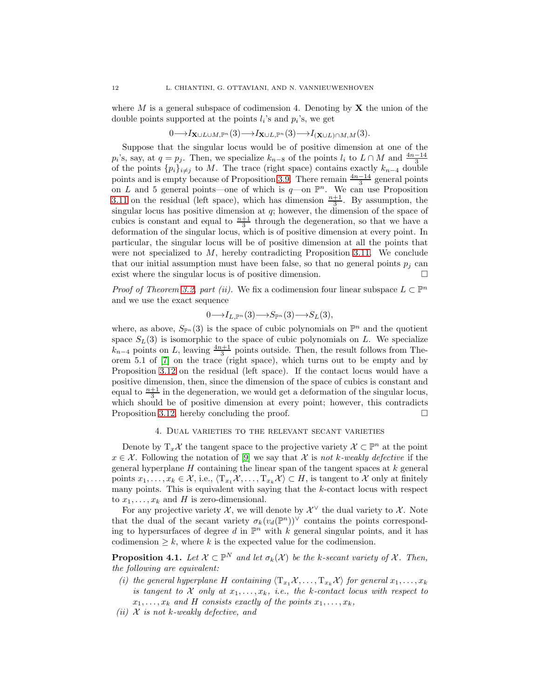where M is a general subspace of codimension 4. Denoting by  $X$  the union of the double points supported at the points  $l_i$ 's and  $p_i$ 's, we get

$$
0 \longrightarrow I_{\mathbf{X} \cup L \cup M, \mathbb{P}^n}(3) \longrightarrow I_{\mathbf{X} \cup L, \mathbb{P}^n}(3) \longrightarrow I_{(\mathbf{X} \cup L) \cap M, M}(3).
$$

Suppose that the singular locus would be of positive dimension at one of the  $p_i$ 's, say, at  $q = p_j$ . Then, we specialize  $k_{n-8}$  of the points  $l_i$  to  $L \cap M$  and  $\frac{4n-14}{3}$ of the points  $\{p_i\}_{i\neq j}$  to M. The trace (right space) contains exactly  $k_{n-4}$  double points and is empty because of Proposition [3.9.](#page-9-1) There remain  $\frac{4n-14}{3}$  general points on L and 5 general points—one of which is  $q$ —on  $\mathbb{P}^n$ . We can use Proposition [3.11](#page-10-1) on the residual (left space), which has dimension  $\frac{n+1}{3}$ . By assumption, the singular locus has positive dimension at  $q$ ; however, the dimension of the space of cubics is constant and equal to  $\frac{n+1}{3}$  through the degeneration, so that we have a deformation of the singular locus, which is of positive dimension at every point. In particular, the singular locus will be of positive dimension at all the points that were not specialized to  $M$ , hereby contradicting Proposition [3.11.](#page-10-1) We conclude that our initial assumption must have been false, so that no general points  $p_i$  can exist where the singular locus is of positive dimension.  $\Box$ 

*Proof of Theorem [3.2,](#page-5-1) part (ii).* We fix a codimension four linear subspace  $L \subset \mathbb{P}^n$ and we use the exact sequence

$$
0 \longrightarrow I_{L,\mathbb{P}^n}(3) \longrightarrow S_{\mathbb{P}^n}(3) \longrightarrow S_L(3),
$$

where, as above,  $S_{\mathbb{P}^n}(3)$  is the space of cubic polynomials on  $\mathbb{P}^n$  and the quotient space  $S_L(3)$  is isomorphic to the space of cubic polynomials on L. We specialize  $k_{n-4}$  points on L, leaving  $\frac{4n+1}{3}$  points outside. Then, the result follows from Theorem 5.1 of [\[7\]](#page-18-12) on the trace (right space), which turns out to be empty and by Proposition [3.12](#page-10-0) on the residual (left space). If the contact locus would have a positive dimension, then, since the dimension of the space of cubics is constant and equal to  $\frac{n+1}{3}$  in the degeneration, we would get a deformation of the singular locus, which should be of positive dimension at every point; however, this contradicts Proposition [3.12,](#page-10-0) hereby concluding the proof.  $\Box$ 

### 4. Dual varieties to the relevant secant varieties

<span id="page-11-0"></span>Denote by  $T_x\mathcal{X}$  the tangent space to the projective variety  $\mathcal{X} \subset \mathbb{P}^n$  at the point  $x \in \mathcal{X}$ . Following the notation of [\[9\]](#page-18-4) we say that  $\mathcal{X}$  is *not* k-weakly defective if the general hyperplane  $H$  containing the linear span of the tangent spaces at  $k$  general points  $x_1, \ldots, x_k \in \mathcal{X}$ , i.e.,  $\langle T_{x_1}\mathcal{X}, \ldots, T_{x_k}\mathcal{X} \rangle \subset H$ , is tangent to X only at finitely many points. This is equivalent with saying that the k-contact locus with respect to  $x_1, \ldots, x_k$  and H is zero-dimensional.

For any projective variety X, we will denote by  $\mathcal{X}^{\vee}$  the dual variety to X. Note that the dual of the secant variety  $\sigma_k(v_d(\mathbb{P}^n))^{\vee}$  contains the points corresponding to hypersurfaces of degree d in  $\mathbb{P}^n$  with k general singular points, and it has codimension  $\geq k$ , where k is the expected value for the codimension.

**Proposition 4.1.** Let  $\mathcal{X} \subset \mathbb{P}^N$  and let  $\sigma_k(\mathcal{X})$  be the k-secant variety of  $\mathcal{X}$ . Then, *the following are equivalent:*

- *(i) the general hyperplane H containing*  $\langle T_{x_1}X, \ldots, T_{x_k}X \rangle$  *for general*  $x_1, \ldots, x_k$ *is tangent to*  $X$  *only at*  $x_1, \ldots, x_k$ *, i.e., the* k-contact locus with respect to  $x_1, \ldots, x_k$  and H consists exactly of the points  $x_1, \ldots, x_k$ ,
- *(ii)* X *is not* k*-weakly defective, and*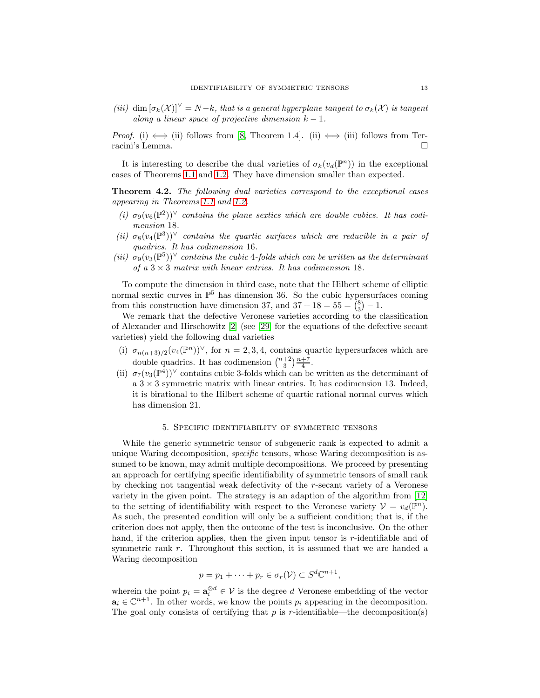*(iii)* dim  $[\sigma_k(\mathcal{X})]^{\vee} = N - k$ *, that is a general hyperplane tangent to*  $\sigma_k(\mathcal{X})$  *is tangent along a linear space of projective dimension*  $k - 1$ *.* 

*Proof.* (i)  $\iff$  (ii) follows from [\[8,](#page-18-2) Theorem 1.4]. (ii)  $\iff$  (iii) follows from Terracini's Lemma.

It is interesting to describe the dual varieties of  $\sigma_k(v_d(\mathbb{P}^n))$  in the exceptional cases of Theorems [1.1](#page-1-0) and [1.2.](#page-1-1) They have dimension smaller than expected.

<span id="page-12-0"></span>Theorem 4.2. *The following dual varieties correspond to the exceptional cases appearing in Theorems [1.1](#page-1-0) and [1.2.](#page-1-1)*

- (*i*)  $\sigma_9(v_6(\mathbb{P}^2))^{\vee}$  *contains the plane sextics which are double cubics. It has codimension* 18*.*
- $(iii) \sigma_8(v_4(\mathbb{P}^3))^{\vee}$  *contains the quartic surfaces which are reducible in a pair of quadrics. It has codimension* 16*.*
- $(iii)$   $\sigma_9(v_3(\mathbb{P}^5))^{\vee}$  *contains the cubic* 4*-folds which can be written as the determinant of a*  $3 \times 3$  *matrix with linear entries. It has codimension* 18*.*

To compute the dimension in third case, note that the Hilbert scheme of elliptic normal sextic curves in  $\mathbb{P}^5$  has dimension 36. So the cubic hypersurfaces coming from this construction have dimension 37, and  $37 + 18 = 55 = {8 \choose 3} - 1$ .

We remark that the defective Veronese varieties according to the classification of Alexander and Hirschowitz [\[2\]](#page-18-0) (see [\[29\]](#page-19-16) for the equations of the defective secant varieties) yield the following dual varieties

- (i)  $\sigma_{n(n+3)/2}(v_4(\mathbb{P}^n))^{\vee}$ , for  $n=2,3,4$ , contains quartic hypersurfaces which are double quadrics. It has codimension  $\binom{n+2}{3} \frac{n+7}{4}$ .
- (ii)  $\sigma_7(v_3(\mathbb{P}^4))^{\vee}$  contains cubic 3-folds which can be written as the determinant of a  $3 \times 3$  symmetric matrix with linear entries. It has codimension 13. Indeed, it is birational to the Hilbert scheme of quartic rational normal curves which has dimension 21.

#### 5. Specific identifiability of symmetric tensors

<span id="page-12-1"></span>While the generic symmetric tensor of subgeneric rank is expected to admit a unique Waring decomposition, *specific* tensors, whose Waring decomposition is assumed to be known, may admit multiple decompositions. We proceed by presenting an approach for certifying specific identifiability of symmetric tensors of small rank by checking not tangential weak defectivity of the r-secant variety of a Veronese variety in the given point. The strategy is an adaption of the algorithm from [\[12\]](#page-18-8) to the setting of identifiability with respect to the Veronese variety  $V = v_d(\mathbb{P}^n)$ . As such, the presented condition will only be a sufficient condition; that is, if the criterion does not apply, then the outcome of the test is inconclusive. On the other hand, if the criterion applies, then the given input tensor is r-identifiable and of symmetric rank r. Throughout this section, it is assumed that we are handed a Waring decomposition

$$
p = p_1 + \cdots + p_r \in \sigma_r(\mathcal{V}) \subset S^d \mathbb{C}^{n+1},
$$

wherein the point  $p_i = \mathbf{a}_i^{\otimes d} \in \mathcal{V}$  is the degree d Veronese embedding of the vector  $a_i \in \mathbb{C}^{n+1}$ . In other words, we know the points  $p_i$  appearing in the decomposition. The goal only consists of certifying that  $p$  is  $r$ -identifiable—the decomposition(s)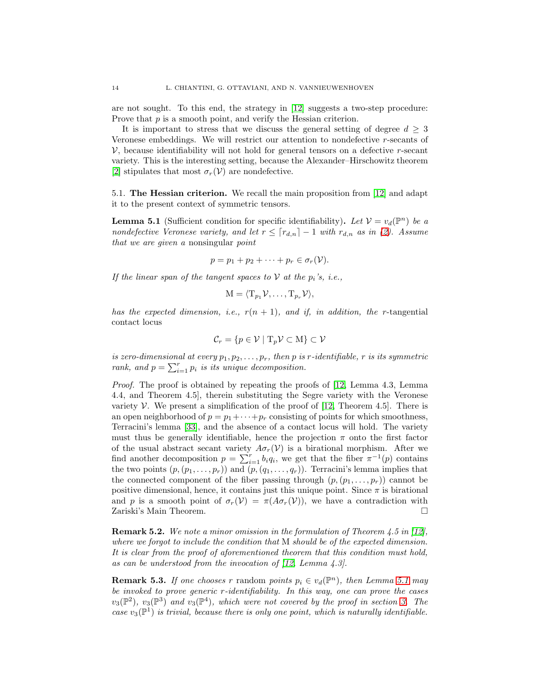are not sought. To this end, the strategy in [\[12\]](#page-18-8) suggests a two-step procedure: Prove that p is a smooth point, and verify the Hessian criterion.

It is important to stress that we discuss the general setting of degree  $d \geq 3$ Veronese embeddings. We will restrict our attention to nondefective r-secants of  $V$ , because identifiability will not hold for general tensors on a defective r-secant variety. This is the interesting setting, because the Alexander–Hirschowitz theorem [\[2\]](#page-18-0) stipulates that most  $\sigma_r(V)$  are nondefective.

5.1. The Hessian criterion. We recall the main proposition from [\[12\]](#page-18-8) and adapt it to the present context of symmetric tensors.

<span id="page-13-0"></span>**Lemma 5.1** (Sufficient condition for specific identifiability). Let  $V = v_d(\mathbb{P}^n)$  be a *nondefective Veronese variety, and let*  $r \leq \lceil r_{d,n} \rceil - 1$  *with*  $r_{d,n}$  *as in* [\(2\)](#page-0-0)*. Assume that we are given a* nonsingular *point*

$$
p=p_1+p_2+\cdots+p_r\in\sigma_r(\mathcal{V}).
$$

*If the linear span of the tangent spaces to*  $V$  *at the*  $p_i$ *'s, i.e.,* 

$$
\mathbf{M} = \langle \mathbf{T}_{p_1} \mathcal{V}, \dots, \mathbf{T}_{p_r} \mathcal{V} \rangle,
$$

*has the expected dimension, i.e.,*  $r(n + 1)$ *, and if, in addition, the r*-tangential contact locus

$$
\mathcal{C}_r = \{ p \in \mathcal{V} \mid \mathrm{T}_p \mathcal{V} \subset \mathrm{M} \} \subset \mathcal{V}
$$

*is zero-dimensional at every*  $p_1, p_2, \ldots, p_r$ , then p *is* r-identifiable, r *is its symmetric* rank, and  $p = \sum_{i=1}^{r} p_i$  *is its unique decomposition.* 

*Proof.* The proof is obtained by repeating the proofs of [\[12,](#page-18-8) Lemma 4.3, Lemma 4.4, and Theorem 4.5], therein substituting the Segre variety with the Veronese variety  $V$ . We present a simplification of the proof of [\[12,](#page-18-8) Theorem 4.5]. There is an open neighborhood of  $p = p_1 + \cdots + p_r$  consisting of points for which smoothness, Terracini's lemma [\[33\]](#page-19-17), and the absence of a contact locus will hold. The variety must thus be generally identifiable, hence the projection  $\pi$  onto the first factor of the usual abstract secant variety  $A\sigma_r(V)$  is a birational morphism. After we find another decomposition  $p = \sum_{i=1}^{r} b_i q_i$ , we get that the fiber  $\pi^{-1}(p)$  contains the two points  $(p, (p_1, \ldots, p_r))$  and  $(p, (q_1, \ldots, q_r))$ . Terracini's lemma implies that the connected component of the fiber passing through  $(p,(p_1,\ldots,p_r))$  cannot be positive dimensional, hence, it contains just this unique point. Since  $\pi$  is birational and p is a smooth point of  $\sigma_r(V) = \pi(A\sigma_r(V))$ , we have a contradiction with Zariski's Main Theorem.

Remark 5.2. *We note a minor omission in the formulation of Theorem 4.5 in [\[12\]](#page-18-8), where we forgot to include the condition that* M *should be of the expected dimension. It is clear from the proof of aforementioned theorem that this condition must hold, as can be understood from the invocation of [\[12,](#page-18-8) Lemma 4.3].*

**Remark 5.3.** *If one chooses* r random *points*  $p_i \in v_d(\mathbb{P}^n)$ *, then Lemma [5.1](#page-13-0) may be invoked to prove generic* r*-identifiability. In this way, one can prove the cases*  $v_3(\mathbb{P}^2)$ ,  $v_3(\mathbb{P}^3)$  and  $v_3(\mathbb{P}^4)$ , which were not covered by the proof in section [3.](#page-4-1) The *case*  $v_3(\mathbb{P}^1)$  *is trivial, because there is only one point, which is naturally identifiable.*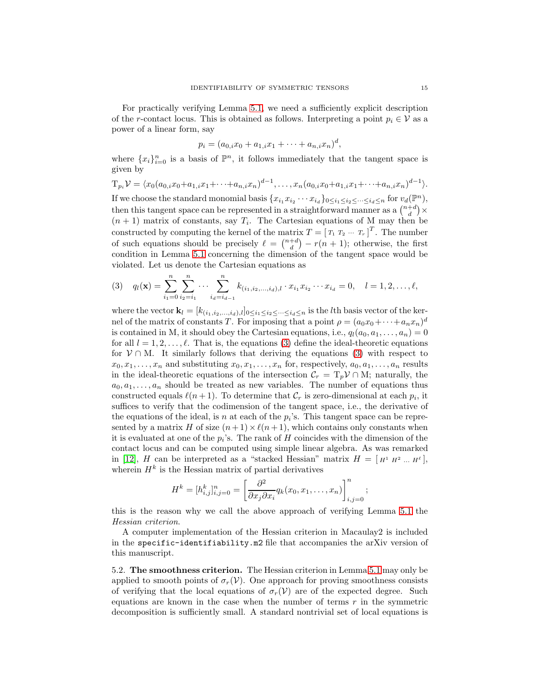For practically verifying Lemma [5.1,](#page-13-0) we need a sufficiently explicit description of the r-contact locus. This is obtained as follows. Interpreting a point  $p_i \in V$  as a power of a linear form, say

$$
p_i = (a_{0,i}x_0 + a_{1,i}x_1 + \cdots + a_{n,i}x_n)^d,
$$

where  $\{x_i\}_{i=0}^n$  is a basis of  $\mathbb{P}^n$ , it follows immediately that the tangent space is given by

$$
T_{p_i}\mathcal{V} = \langle x_0(a_{0,i}x_0 + a_{1,i}x_1 + \cdots + a_{n,i}x_n)^{d-1}, \ldots, x_n(a_{0,i}x_0 + a_{1,i}x_1 + \cdots + a_{n,i}x_n)^{d-1} \rangle.
$$

If we choose the standard monomial basis  $\{x_{i_1}x_{i_2}\cdots x_{i_d}\}_{0\leq i_1\leq i_2\leq \cdots\leq i_d\leq n}$  for  $v_d(\mathbb{P}^n)$ , then this tangent space can be represented in a straightforward manner as a  $\binom{n+d}{d} \times$  $(n+1)$  matrix of constants, say  $T_i$ . The Cartesian equations of M may then be constructed by computing the kernel of the matrix  $T = [T_1 \ T_2 \ \cdots \ T_r]^T$ . The number of such equations should be precisely  $\ell = \binom{n+d}{d} - r(n+1)$ ; otherwise, the first condition in Lemma [5.1](#page-13-0) concerning the dimension of the tangent space would be violated. Let us denote the Cartesian equations as

<span id="page-14-0"></span>
$$
(3) \quad q_l(\mathbf{x}) = \sum_{i_1=0}^n \sum_{i_2=i_1}^n \cdots \sum_{i_d=i_{d-1}}^n k_{(i_1,i_2,\ldots,i_d),l} \cdot x_{i_1} x_{i_2} \cdots x_{i_d} = 0, \quad l=1,2,\ldots,\ell,
$$

where the vector  $\mathbf{k}_l = [k_{(i_1,i_2,...,i_d),l}]_{0 \leq i_1 \leq i_2 \leq \cdots \leq i_d \leq n}$  is the *l*th basis vector of the kernel of the matrix of constants T. For imposing that a point  $\rho = (a_0x_0 + \cdots + a_nx_n)^d$ is contained in M, it should obey the Cartesian equations, i.e.,  $q_l(a_0, a_1, \ldots, a_n) = 0$ for all  $l = 1, 2, \ldots, \ell$ . That is, the equations [\(3\)](#page-14-0) define the ideal-theoretic equations for  $V \cap M$ . It similarly follows that deriving the equations [\(3\)](#page-14-0) with respect to  $x_0, x_1, \ldots, x_n$  and substituting  $x_0, x_1, \ldots, x_n$  for, respectively,  $a_0, a_1, \ldots, a_n$  results in the ideal-theoretic equations of the intersection  $C_r = T_p V \cap M$ ; naturally, the  $a_0, a_1, \ldots, a_n$  should be treated as new variables. The number of equations thus constructed equals  $\ell(n+1)$ . To determine that  $\mathcal{C}_r$  is zero-dimensional at each  $p_i$ , it suffices to verify that the codimension of the tangent space, i.e., the derivative of the equations of the ideal, is n at each of the  $p_i$ 's. This tangent space can be represented by a matrix H of size  $(n+1) \times \ell(n+1)$ , which contains only constants when it is evaluated at one of the  $p_i$ 's. The rank of H coincides with the dimension of the contact locus and can be computed using simple linear algebra. As was remarked in [\[12\]](#page-18-8), H can be interpreted as a "stacked Hessian" matrix  $H = [H^1 H^2 ... H^e],$ wherein  $H^k$  is the Hessian matrix of partial derivatives

$$
H^k=[h_{i,j}^k]_{i,j=0}^n=\left[\frac{\partial^2}{\partial x_j \partial x_i}q_k(x_0,x_1,\ldots,x_n)\right]_{i,j=0}^n;
$$

this is the reason why we call the above approach of verifying Lemma [5.1](#page-13-0) the *Hessian criterion*.

A computer implementation of the Hessian criterion in Macaulay2 is included in the specific-identifiability.m2 file that accompanies the arXiv version of this manuscript.

5.2. The smoothness criterion. The Hessian criterion in Lemma [5.1](#page-13-0) may only be applied to smooth points of  $\sigma_r(\mathcal{V})$ . One approach for proving smoothness consists of verifying that the local equations of  $\sigma_r(V)$  are of the expected degree. Such equations are known in the case when the number of terms  $r$  in the symmetric decomposition is sufficiently small. A standard nontrivial set of local equations is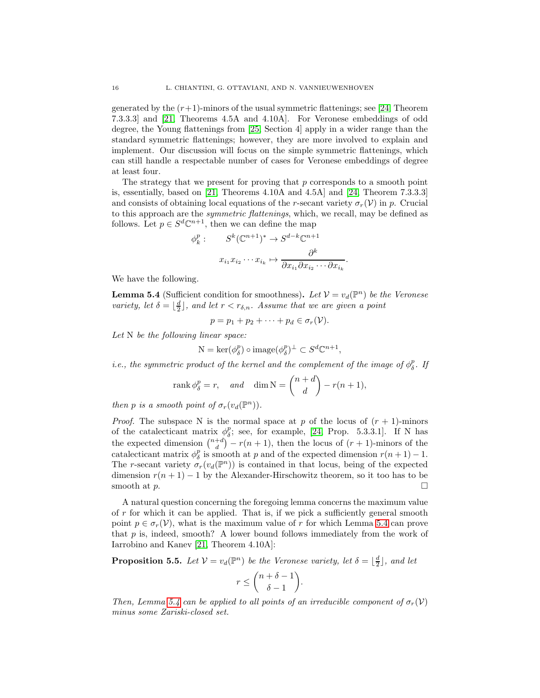generated by the  $(r+1)$ -minors of the usual symmetric flattenings; see [\[24,](#page-19-1) Theorem 7.3.3.3] and [\[21,](#page-19-0) Theorems 4.5A and 4.10A]. For Veronese embeddings of odd degree, the Young flattenings from [\[25,](#page-19-14) Section 4] apply in a wider range than the standard symmetric flattenings; however, they are more involved to explain and implement. Our discussion will focus on the simple symmetric flattenings, which can still handle a respectable number of cases for Veronese embeddings of degree at least four.

The strategy that we present for proving that  $p$  corresponds to a smooth point is, essentially, based on [\[21,](#page-19-0) Theorems 4.10A and 4.5A] and [\[24,](#page-19-1) Theorem 7.3.3.3] and consists of obtaining local equations of the r-secant variety  $\sigma_r(V)$  in p. Crucial to this approach are the *symmetric flattenings*, which, we recall, may be defined as follows. Let  $p \in S^d \mathbb{C}^{n+1}$ , then we can define the map

$$
\phi_k^p: \qquad S^k(\mathbb{C}^{n+1})^* \to S^{d-k}\mathbb{C}^{n+1}
$$

$$
x_{i_1} x_{i_2} \cdots x_{i_k} \mapsto \frac{\partial^k}{\partial x_{i_1} \partial x_{i_2} \cdots \partial x_{i_k}}
$$

.

We have the following.

<span id="page-15-0"></span>**Lemma 5.4** (Sufficient condition for smoothness). Let  $V = v_d(\mathbb{P}^n)$  be the Veronese *variety, let*  $\delta = \lfloor \frac{d}{2} \rfloor$ *, and let*  $r < r_{\delta,n}$ *. Assume that we are given a point* 

$$
p = p_1 + p_2 + \cdots + p_d \in \sigma_r(\mathcal{V}).
$$

*Let* N *be the following linear space:*

$$
N = \ker(\phi_{\delta}^p) \circ \text{image}(\phi_{\delta}^p)^{\perp} \subset S^d \mathbb{C}^{n+1},
$$

*i.e., the symmetric product of the kernel and the complement of the image of*  $\phi_{\delta}^{p}$ . If

$$
rank \phi_{\delta}^{p} = r, \quad and \quad \dim N = \binom{n+d}{d} - r(n+1),
$$

*then p is a smooth point of*  $\sigma_r(v_d(\mathbb{P}^n))$ *.* 

*Proof.* The subspace N is the normal space at p of the locus of  $(r + 1)$ -minors of the catalecticant matrix  $\phi_{\delta}^p$ ; see, for example, [\[24,](#page-19-1) Prop. 5.3.3.1]. If N has the expected dimension  $\binom{n+d}{d} - r(n+1)$ , then the locus of  $(r+1)$ -minors of the catalecticant matrix  $\phi_{\delta}^{p}$  is smooth at p and of the expected dimension  $r(n+1)-1$ . The r-secant variety  $\sigma_r(v_d(\mathbb{P}^n))$  is contained in that locus, being of the expected dimension  $r(n + 1) - 1$  by the Alexander-Hirschowitz theorem, so it too has to be smooth at  $p$ .

A natural question concerning the foregoing lemma concerns the maximum value of  $r$  for which it can be applied. That is, if we pick a sufficiently general smooth point  $p \in \sigma_r(\mathcal{V})$ , what is the maximum value of r for which Lemma [5.4](#page-15-0) can prove that  $p$  is, indeed, smooth? A lower bound follows immediately from the work of Iarrobino and Kanev [\[21,](#page-19-0) Theorem 4.10A]:

<span id="page-15-1"></span>**Proposition 5.5.** Let  $V = v_d(\mathbb{P}^n)$  be the Veronese variety, let  $\delta = \lfloor \frac{d}{2} \rfloor$ , and let

$$
r \leq {n+\delta-1 \choose \delta-1}.
$$

*Then, Lemma* [5.4](#page-15-0) *can be applied to all points of an irreducible component of*  $\sigma_r(V)$ *minus some Zariski-closed set.*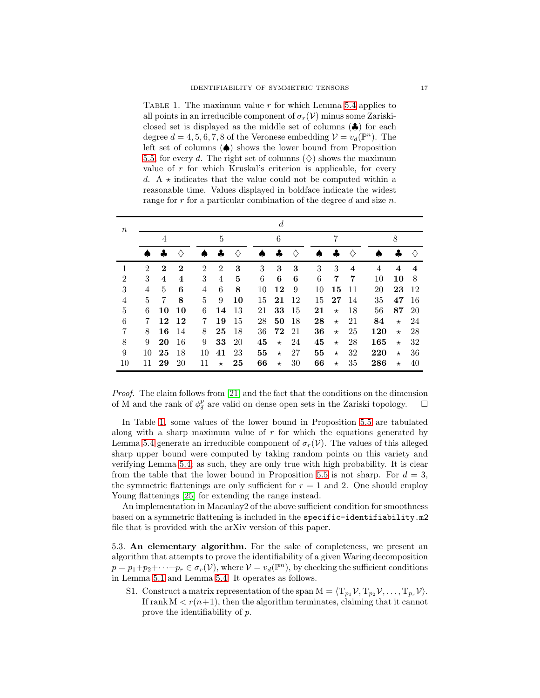<span id="page-16-0"></span>TABLE 1. The maximum value  $r$  for which Lemma [5.4](#page-15-0) applies to all points in an irreducible component of  $\sigma_r(\mathcal{V})$  minus some Zariskiclosed set is displayed as the middle set of columns (♣) for each degree  $d = 4, 5, 6, 7, 8$  of the Veronese embedding  $\mathcal{V} = v_d(\mathbb{P}^n)$ . The left set of columns (♠) shows the lower bound from Proposition [5.5,](#page-15-1) for every d. The right set of columns  $(\diamondsuit)$  shows the maximum value of  $r$  for which Kruskal's criterion is applicable, for every d. A  $\star$  indicates that the value could not be computed within a reasonable time. Values displayed in boldface indicate the widest range for r for a particular combination of the degree d and size n.

| $\boldsymbol{n}$ |                | $\boldsymbol{d}$ |          |                |                |                   |    |         |    |    |         |    |     |          |            |
|------------------|----------------|------------------|----------|----------------|----------------|-------------------|----|---------|----|----|---------|----|-----|----------|------------|
|                  | 4              |                  |          | 5              |                |                   | 6  |         | 7  |    |         | 8  |     |          |            |
|                  |                |                  |          |                |                | $\langle \rangle$ |    |         |    |    |         | ♦  |     |          | $\Diamond$ |
| 1                | $\overline{2}$ | $\bf{2}$         | $\bf{2}$ | $\overline{2}$ | $\overline{2}$ | 3                 | 3  | 3       | 3  | 3  | 3       | 4  | 4   | $\bf{4}$ | $\bf{4}$   |
| 2                | 3              | $\bf{4}$         | 4        | 3              | 4              | 5                 | 6  | 6       | 6  | 6  | 7       | 7  | 10  | 10       | 8          |
| 3                | 4              | 5                | 6        | 4              | 6              | 8                 | 10 | 12      | 9  | 10 | 15      | 11 | 20  | 23       | 12         |
| 4                | 5              | 7                | 8        | 5              | 9              | 10                | 15 | 21      | 12 | 15 | 27      | 14 | 35  | 47       | 16         |
| 5                | 6              | 10               | 10       | 6              | 14             | 13                | 21 | 33      | 15 | 21 | $\star$ | 18 | 56  | 87       | <b>20</b>  |
| 6                | 7              | 12               | 12       | 7              | 19             | 15                | 28 | 50      | 18 | 28 | $\star$ | 21 | 84  | $\star$  | 24         |
| 7                | 8              | 16               | 14       | 8              | 25             | 18                | 36 | 72 21   |    | 36 | $\star$ | 25 | 120 | $\star$  | 28         |
| 8                | 9              | 20               | 16       | 9              | 33             | 20                | 45 | $\star$ | 24 | 45 | $\star$ | 28 | 165 | $\star$  | 32         |
| 9                | 10             | 25               | 18       | 10             | 41             | 23                | 55 | $\star$ | 27 | 55 | $\star$ | 32 | 220 | $\star$  | 36         |
| 10               | 11             | 29               | 20       | 11             | $\star$        | 25                | 66 | $\star$ | 30 | 66 | $\star$ | 35 | 286 | $\star$  | 40         |

*Proof.* The claim follows from [\[21\]](#page-19-0) and the fact that the conditions on the dimension of M and the rank of  $\phi_{\delta}^{p}$  are valid on dense open sets in the Zariski topology.  $\square$ 

In Table [1,](#page-16-0) some values of the lower bound in Proposition [5.5](#page-15-1) are tabulated along with a sharp maximum value of  $r$  for which the equations generated by Lemma [5.4](#page-15-0) generate an irreducible component of  $\sigma_r(\mathcal{V})$ . The values of this alleged sharp upper bound were computed by taking random points on this variety and verifying Lemma [5.4;](#page-15-0) as such, they are only true with high probability. It is clear from the table that the lower bound in Proposition [5.5](#page-15-1) is not sharp. For  $d = 3$ , the symmetric flattenings are only sufficient for  $r = 1$  and 2. One should employ Young flattenings [\[25\]](#page-19-14) for extending the range instead.

An implementation in Macaulay2 of the above sufficient condition for smoothness based on a symmetric flattening is included in the specific-identifiability.m2 file that is provided with the arXiv version of this paper.

5.3. An elementary algorithm. For the sake of completeness, we present an algorithm that attempts to prove the identifiability of a given Waring decomposition  $p = p_1 + p_2 + \cdots + p_r \in \sigma_r(\mathcal{V})$ , where  $\mathcal{V} = v_d(\mathbb{P}^n)$ , by checking the sufficient conditions in Lemma [5.1](#page-13-0) and Lemma [5.4.](#page-15-0) It operates as follows.

S1. Construct a matrix representation of the span  $M = \langle T_{p_1} \mathcal{V}, T_{p_2} \mathcal{V}, \ldots, T_{p_r} \mathcal{V} \rangle$ . If rank  $M < r(n+1)$ , then the algorithm terminates, claiming that it cannot prove the identifiability of p.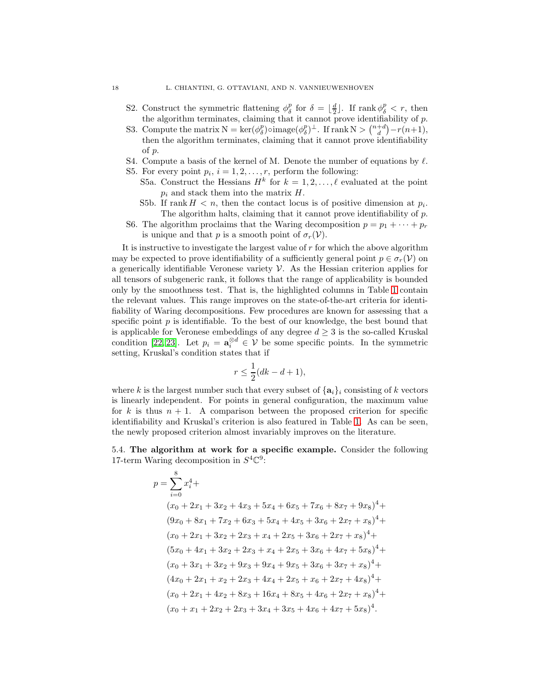- S2. Construct the symmetric flattening  $\phi_{\delta}^p$  for  $\delta = \lfloor \frac{d}{2} \rfloor$ . If rank  $\phi_{\delta}^p < r$ , then the algorithm terminates, claiming that it cannot prove identifiability of p.
- S3. Compute the matrix  $N = \ker(\phi_{\delta}^p) \circ \text{image}(\phi_{\delta}^p)^{\perp}$ . If rank  $N > \binom{n+d}{d} r(n+1)$ , then the algorithm terminates, claiming that it cannot prove identifiability of p.
- S4. Compute a basis of the kernel of M. Denote the number of equations by  $\ell$ .
- S5. For every point  $p_i$ ,  $i = 1, 2, \ldots, r$ , perform the following: S5a. Construct the Hessians  $H^k$  for  $k = 1, 2, ..., \ell$  evaluated at the point  $p_i$  and stack them into the matrix  $H$ .
	- S5b. If rank  $H < n$ , then the contact locus is of positive dimension at  $p_i$ . The algorithm halts, claiming that it cannot prove identifiability of p.
- S6. The algorithm proclaims that the Waring decomposition  $p = p_1 + \cdots + p_r$ is unique and that p is a smooth point of  $\sigma_r(\mathcal{V})$ .

It is instructive to investigate the largest value of  $r$  for which the above algorithm may be expected to prove identifiability of a sufficiently general point  $p \in \sigma_r(\mathcal{V})$  on a generically identifiable Veronese variety  $\mathcal V$ . As the Hessian criterion applies for all tensors of subgeneric rank, it follows that the range of applicability is bounded only by the smoothness test. That is, the highlighted columns in Table [1](#page-16-0) contain the relevant values. This range improves on the state-of-the-art criteria for identifiability of Waring decompositions. Few procedures are known for assessing that a specific point  $p$  is identifiable. To the best of our knowledge, the best bound that is applicable for Veronese embeddings of any degree  $d \geq 3$  is the so-called Kruskal condition [\[22,](#page-19-18) [23\]](#page-19-19). Let  $p_i = \mathbf{a}_i^{\otimes d} \in \mathcal{V}$  be some specific points. In the symmetric setting, Kruskal's condition states that if

$$
r \le \frac{1}{2}(dk - d + 1),
$$

where k is the largest number such that every subset of  $\{a_i\}_i$  consisting of k vectors is linearly independent. For points in general configuration, the maximum value for k is thus  $n + 1$ . A comparison between the proposed criterion for specific identifiability and Kruskal's criterion is also featured in Table [1.](#page-16-0) As can be seen, the newly proposed criterion almost invariably improves on the literature.

5.4. The algorithm at work for a specific example. Consider the following 17-term Waring decomposition in  $S^4\mathbb{C}^9$ :

$$
p = \sum_{i=0}^{8} x_i^4 +
$$
  
\n
$$
(x_0 + 2x_1 + 3x_2 + 4x_3 + 5x_4 + 6x_5 + 7x_6 + 8x_7 + 9x_8)^4 +
$$
  
\n
$$
(9x_0 + 8x_1 + 7x_2 + 6x_3 + 5x_4 + 4x_5 + 3x_6 + 2x_7 + x_8)^4 +
$$
  
\n
$$
(x_0 + 2x_1 + 3x_2 + 2x_3 + x_4 + 2x_5 + 3x_6 + 2x_7 + x_8)^4 +
$$
  
\n
$$
(5x_0 + 4x_1 + 3x_2 + 2x_3 + x_4 + 2x_5 + 3x_6 + 4x_7 + 5x_8)^4 +
$$
  
\n
$$
(x_0 + 3x_1 + 3x_2 + 9x_3 + 9x_4 + 9x_5 + 3x_6 + 3x_7 + x_8)^4 +
$$
  
\n
$$
(4x_0 + 2x_1 + x_2 + 2x_3 + 4x_4 + 2x_5 + x_6 + 2x_7 + 4x_8)^4 +
$$
  
\n
$$
(x_0 + 2x_1 + 4x_2 + 8x_3 + 16x_4 + 8x_5 + 4x_6 + 2x_7 + x_8)^4 +
$$
  
\n
$$
(x_0 + x_1 + 2x_2 + 2x_3 + 3x_4 + 3x_5 + 4x_6 + 4x_7 + 5x_8)^4.
$$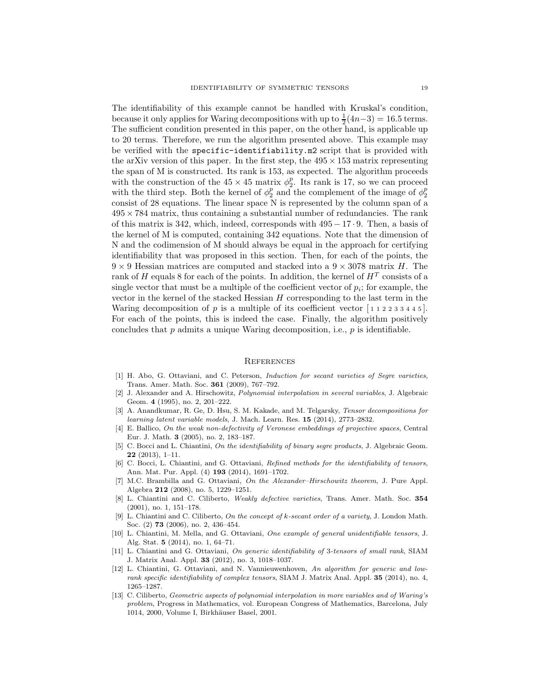The identifiability of this example cannot be handled with Kruskal's condition, because it only applies for Waring decompositions with up to  $\frac{1}{2}(4n-3) = 16.5$  terms. The sufficient condition presented in this paper, on the other hand, is applicable up to 20 terms. Therefore, we run the algorithm presented above. This example may be verified with the specific-identifiability.m2 script that is provided with the arXiv version of this paper. In the first step, the  $495 \times 153$  matrix representing the span of M is constructed. Its rank is 153, as expected. The algorithm proceeds with the construction of the  $45 \times 45$  matrix  $\phi_2^p$ . Its rank is 17, so we can proceed with the third step. Both the kernel of  $\phi_2^p$  and the complement of the image of  $\phi_2^p$ consist of 28 equations. The linear space N is represented by the column span of a  $495 \times 784$  matrix, thus containing a substantial number of redundancies. The rank of this matrix is 342, which, indeed, corresponds with 495 − 17 · 9. Then, a basis of the kernel of M is computed, containing 342 equations. Note that the dimension of N and the codimension of M should always be equal in the approach for certifying identifiability that was proposed in this section. Then, for each of the points, the  $9 \times 9$  Hessian matrices are computed and stacked into a  $9 \times 3078$  matrix H. The rank of H equals 8 for each of the points. In addition, the kernel of  $H^T$  consists of a single vector that must be a multiple of the coefficient vector of  $p_i$ ; for example, the vector in the kernel of the stacked Hessian  $H$  corresponding to the last term in the Waring decomposition of p is a multiple of its coefficient vector  $\lceil 1 \rceil$  1 2 2 3 3 4 4 5. For each of the points, this is indeed the case. Finally, the algorithm positively concludes that  $p$  admits a unique Waring decomposition, i.e.,  $p$  is identifiable.

#### **REFERENCES**

- <span id="page-18-9"></span>[1] H. Abo, G. Ottaviani, and C. Peterson, Induction for secant varieties of Segre varieties, Trans. Amer. Math. Soc. 361 (2009), 767–792.
- <span id="page-18-0"></span>[2] J. Alexander and A. Hirschowitz, Polynomial interpolation in several variables, J. Algebraic Geom. 4 (1995), no. 2, 201–222.
- <span id="page-18-6"></span>[3] A. Anandkumar, R. Ge, D. Hsu, S. M. Kakade, and M. Telgarsky, Tensor decompositions for learning latent variable models, J. Mach. Learn. Res. 15 (2014), 2773–2832.
- <span id="page-18-5"></span>[4] E. Ballico, On the weak non-defectivity of Veronese embeddings of projective spaces, Central Eur. J. Math. 3 (2005), no. 2, 183–187.
- <span id="page-18-10"></span>[5] C. Bocci and L. Chiantini, On the identifiability of binary segre products, J. Algebraic Geom. 22 (2013), 1–11.
- <span id="page-18-3"></span>[6] C. Bocci, L. Chiantini, and G. Ottaviani, Refined methods for the identifiability of tensors, Ann. Mat. Pur. Appl. (4) 193 (2014), 1691–1702.
- <span id="page-18-12"></span>[7] M.C. Brambilla and G. Ottaviani, On the Alexander–Hirschowitz theorem, J. Pure Appl. Algebra 212 (2008), no. 5, 1229–1251.
- <span id="page-18-2"></span>[8] L. Chiantini and C. Ciliberto, Weakly defective varieties, Trans. Amer. Math. Soc. 354 (2001), no. 1, 151–178.
- <span id="page-18-4"></span>[9] L. Chiantini and C. Ciliberto, On the concept of k-secant order of a variety, J. London Math. Soc. (2) **73** (2006), no. 2, 436–454.
- <span id="page-18-11"></span>[10] L. Chiantini, M. Mella, and G. Ottaviani, One example of general unidentifiable tensors, J. Alg. Stat. 5 (2014), no. 1, 64–71.
- <span id="page-18-7"></span>[11] L. Chiantini and G. Ottaviani, On generic identifiability of 3-tensors of small rank, SIAM J. Matrix Anal. Appl. 33 (2012), no. 3, 1018–1037.
- <span id="page-18-8"></span>[12] L. Chiantini, G. Ottaviani, and N. Vannieuwenhoven, An algorithm for generic and lowrank specific identifiability of complex tensors, SIAM J. Matrix Anal. Appl. 35 (2014), no. 4, 1265–1287.
- <span id="page-18-1"></span>[13] C. Ciliberto, Geometric aspects of polynomial interpolation in more variables and of Waring's problem, Progress in Mathematics, vol. European Congress of Mathematics, Barcelona, July 1014, 2000, Volume I, Birkhäuser Basel, 2001.